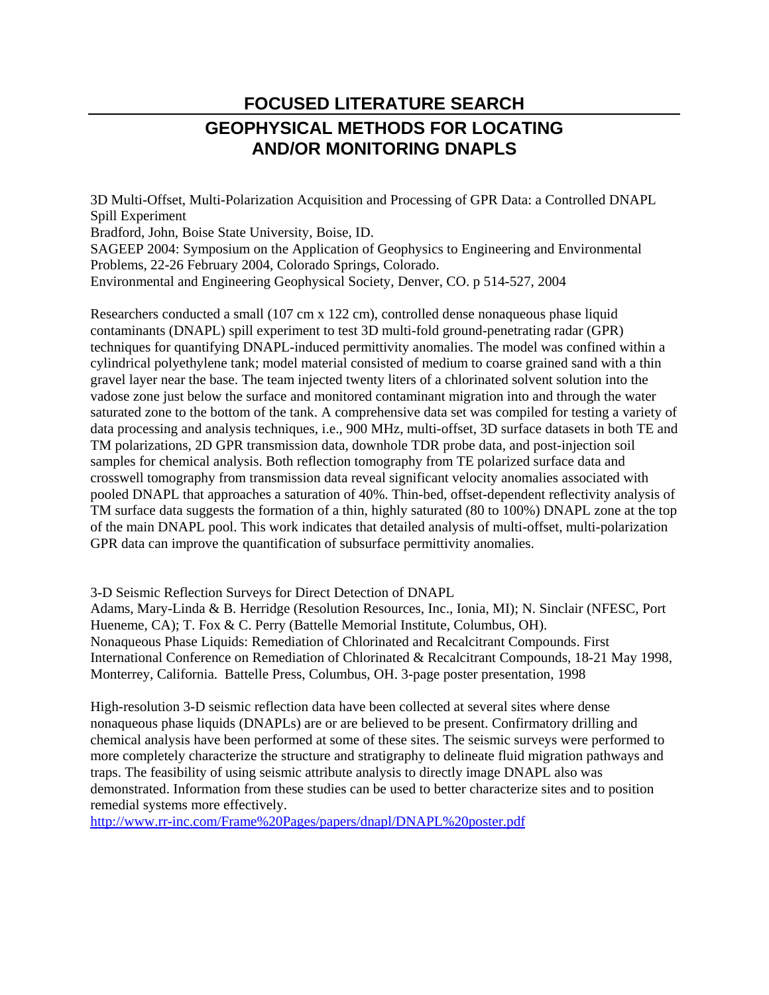## **FOCUSED LITERATURE SEARCH GEOPHYSICAL METHODS FOR LOCATING AND/OR MONITORING DNAPLS**

3D Multi-Offset, Multi-Polarization Acquisition and Processing of GPR Data: a Controlled DNAPL Spill Experiment Bradford, John, Boise State University, Boise, ID. SAGEEP 2004: Symposium on the Application of Geophysics to Engineering and Environmental Problems, 22-26 February 2004, Colorado Springs, Colorado. Environmental and Engineering Geophysical Society, Denver, CO. p 514-527, 2004

Researchers conducted a small (107 cm x 122 cm), controlled dense nonaqueous phase liquid contaminants (DNAPL) spill experiment to test 3D multi-fold ground-penetrating radar (GPR) techniques for quantifying DNAPL-induced permittivity anomalies. The model was confined within a cylindrical polyethylene tank; model material consisted of medium to coarse grained sand with a thin gravel layer near the base. The team injected twenty liters of a chlorinated solvent solution into the vadose zone just below the surface and monitored contaminant migration into and through the water saturated zone to the bottom of the tank. A comprehensive data set was compiled for testing a variety of data processing and analysis techniques, i.e., 900 MHz, multi-offset, 3D surface datasets in both TE and TM polarizations, 2D GPR transmission data, downhole TDR probe data, and post-injection soil samples for chemical analysis. Both reflection tomography from TE polarized surface data and crosswell tomography from transmission data reveal significant velocity anomalies associated with pooled DNAPL that approaches a saturation of 40%. Thin-bed, offset-dependent reflectivity analysis of TM surface data suggests the formation of a thin, highly saturated (80 to 100%) DNAPL zone at the top of the main DNAPL pool. This work indicates that detailed analysis of multi-offset, multi-polarization GPR data can improve the quantification of subsurface permittivity anomalies.

3-D Seismic Reflection Surveys for Direct Detection of DNAPL

Adams, Mary-Linda & B. Herridge (Resolution Resources, Inc., Ionia, MI); N. Sinclair (NFESC, Port Hueneme, CA); T. Fox & C. Perry (Battelle Memorial Institute, Columbus, OH). Nonaqueous Phase Liquids: Remediation of Chlorinated and Recalcitrant Compounds. First International Conference on Remediation of Chlorinated & Recalcitrant Compounds, 18-21 May 1998, Monterrey, California. Battelle Press, Columbus, OH. 3-page poster presentation, 1998

High-resolution 3-D seismic reflection data have been collected at several sites where dense nonaqueous phase liquids (DNAPLs) are or are believed to be present. Confirmatory drilling and chemical analysis have been performed at some of these sites. The seismic surveys were performed to more completely characterize the structure and stratigraphy to delineate fluid migration pathways and traps. The feasibility of using seismic attribute analysis to directly image DNAPL also was demonstrated. Information from these studies can be used to better characterize sites and to position remedial systems more effectively.

<http://www.rr-inc.com/Frame%20Pages/papers/dnapl/DNAPL%20poster.pdf>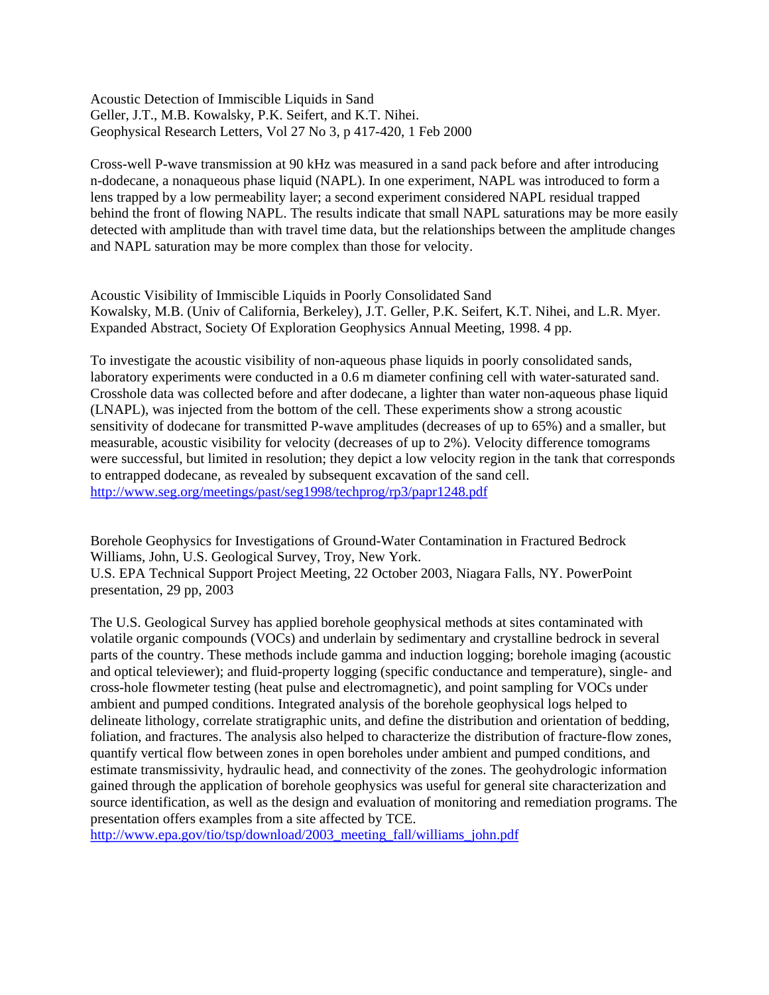Acoustic Detection of Immiscible Liquids in Sand Geller, J.T., M.B. Kowalsky, P.K. Seifert, and K.T. Nihei. Geophysical Research Letters, Vol 27 No 3, p 417-420, 1 Feb 2000

Cross-well P-wave transmission at 90 kHz was measured in a sand pack before and after introducing n-dodecane, a nonaqueous phase liquid (NAPL). In one experiment, NAPL was introduced to form a lens trapped by a low permeability layer; a second experiment considered NAPL residual trapped behind the front of flowing NAPL. The results indicate that small NAPL saturations may be more easily detected with amplitude than with travel time data, but the relationships between the amplitude changes and NAPL saturation may be more complex than those for velocity.

Acoustic Visibility of Immiscible Liquids in Poorly Consolidated Sand Kowalsky, M.B. (Univ of California, Berkeley), J.T. Geller, P.K. Seifert, K.T. Nihei, and L.R. Myer. Expanded Abstract, Society Of Exploration Geophysics Annual Meeting, 1998. 4 pp.

To investigate the acoustic visibility of non-aqueous phase liquids in poorly consolidated sands, laboratory experiments were conducted in a 0.6 m diameter confining cell with water-saturated sand. Crosshole data was collected before and after dodecane, a lighter than water non-aqueous phase liquid (LNAPL), was injected from the bottom of the cell. These experiments show a strong acoustic sensitivity of dodecane for transmitted P-wave amplitudes (decreases of up to 65%) and a smaller, but measurable, acoustic visibility for velocity (decreases of up to 2%). Velocity difference tomograms were successful, but limited in resolution; they depict a low velocity region in the tank that corresponds to entrapped dodecane, as revealed by subsequent excavation of the sand cell. <http://www.seg.org/meetings/past/seg1998/techprog/rp3/papr1248.pdf>

Borehole Geophysics for Investigations of Ground-Water Contamination in Fractured Bedrock Williams, John, U.S. Geological Survey, Troy, New York. U.S. EPA Technical Support Project Meeting, 22 October 2003, Niagara Falls, NY. PowerPoint presentation, 29 pp, 2003

The U.S. Geological Survey has applied borehole geophysical methods at sites contaminated with volatile organic compounds (VOCs) and underlain by sedimentary and crystalline bedrock in several parts of the country. These methods include gamma and induction logging; borehole imaging (acoustic and optical televiewer); and fluid-property logging (specific conductance and temperature), single- and cross-hole flowmeter testing (heat pulse and electromagnetic), and point sampling for VOCs under ambient and pumped conditions. Integrated analysis of the borehole geophysical logs helped to delineate lithology, correlate stratigraphic units, and define the distribution and orientation of bedding, foliation, and fractures. The analysis also helped to characterize the distribution of fracture-flow zones, quantify vertical flow between zones in open boreholes under ambient and pumped conditions, and estimate transmissivity, hydraulic head, and connectivity of the zones. The geohydrologic information gained through the application of borehole geophysics was useful for general site characterization and source identification, as well as the design and evaluation of monitoring and remediation programs. The presentation offers examples from a site affected by TCE.

[http://www.epa.gov/tio/tsp/download/2003\\_meeting\\_fall/williams\\_john.pdf](http://www.epa.gov/tio/tsp/download/2003_meeting_fall/williams_john.pdf)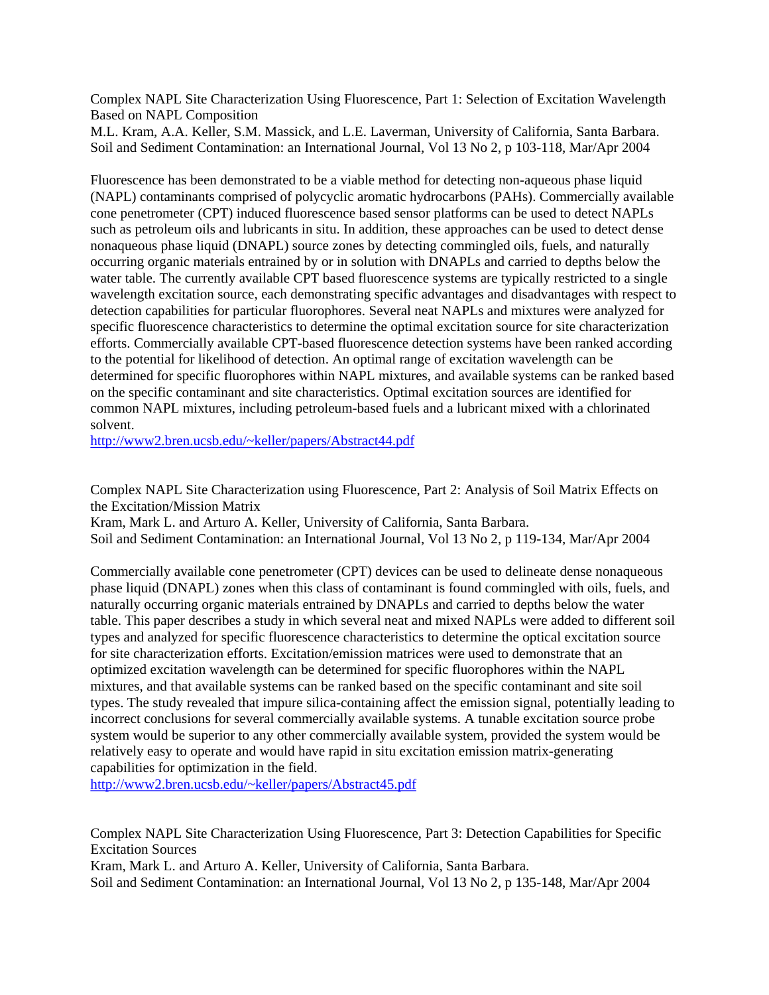Complex NAPL Site Characterization Using Fluorescence, Part 1: Selection of Excitation Wavelength Based on NAPL Composition

M.L. Kram, A.A. Keller, S.M. Massick, and L.E. Laverman, University of California, Santa Barbara. Soil and Sediment Contamination: an International Journal, Vol 13 No 2, p 103-118, Mar/Apr 2004

Fluorescence has been demonstrated to be a viable method for detecting non-aqueous phase liquid (NAPL) contaminants comprised of polycyclic aromatic hydrocarbons (PAHs). Commercially available cone penetrometer (CPT) induced fluorescence based sensor platforms can be used to detect NAPLs such as petroleum oils and lubricants in situ. In addition, these approaches can be used to detect dense nonaqueous phase liquid (DNAPL) source zones by detecting commingled oils, fuels, and naturally occurring organic materials entrained by or in solution with DNAPLs and carried to depths below the water table. The currently available CPT based fluorescence systems are typically restricted to a single wavelength excitation source, each demonstrating specific advantages and disadvantages with respect to detection capabilities for particular fluorophores. Several neat NAPLs and mixtures were analyzed for specific fluorescence characteristics to determine the optimal excitation source for site characterization efforts. Commercially available CPT-based fluorescence detection systems have been ranked according to the potential for likelihood of detection. An optimal range of excitation wavelength can be determined for specific fluorophores within NAPL mixtures, and available systems can be ranked based on the specific contaminant and site characteristics. Optimal excitation sources are identified for common NAPL mixtures, including petroleum-based fuels and a lubricant mixed with a chlorinated solvent.

<http://www2.bren.ucsb.edu/~keller/papers/Abstract44.pdf>

Complex NAPL Site Characterization using Fluorescence, Part 2: Analysis of Soil Matrix Effects on the Excitation/Mission Matrix

Kram, Mark L. and Arturo A. Keller, University of California, Santa Barbara. Soil and Sediment Contamination: an International Journal, Vol 13 No 2, p 119-134, Mar/Apr 2004

Commercially available cone penetrometer (CPT) devices can be used to delineate dense nonaqueous phase liquid (DNAPL) zones when this class of contaminant is found commingled with oils, fuels, and naturally occurring organic materials entrained by DNAPLs and carried to depths below the water table. This paper describes a study in which several neat and mixed NAPLs were added to different soil types and analyzed for specific fluorescence characteristics to determine the optical excitation source for site characterization efforts. Excitation/emission matrices were used to demonstrate that an optimized excitation wavelength can be determined for specific fluorophores within the NAPL mixtures, and that available systems can be ranked based on the specific contaminant and site soil types. The study revealed that impure silica-containing affect the emission signal, potentially leading to incorrect conclusions for several commercially available systems. A tunable excitation source probe system would be superior to any other commercially available system, provided the system would be relatively easy to operate and would have rapid in situ excitation emission matrix-generating capabilities for optimization in the field.

<http://www2.bren.ucsb.edu/~keller/papers/Abstract45.pdf>

Complex NAPL Site Characterization Using Fluorescence, Part 3: Detection Capabilities for Specific Excitation Sources Kram, Mark L. and Arturo A. Keller, University of California, Santa Barbara.

Soil and Sediment Contamination: an International Journal, Vol 13 No 2, p 135-148, Mar/Apr 2004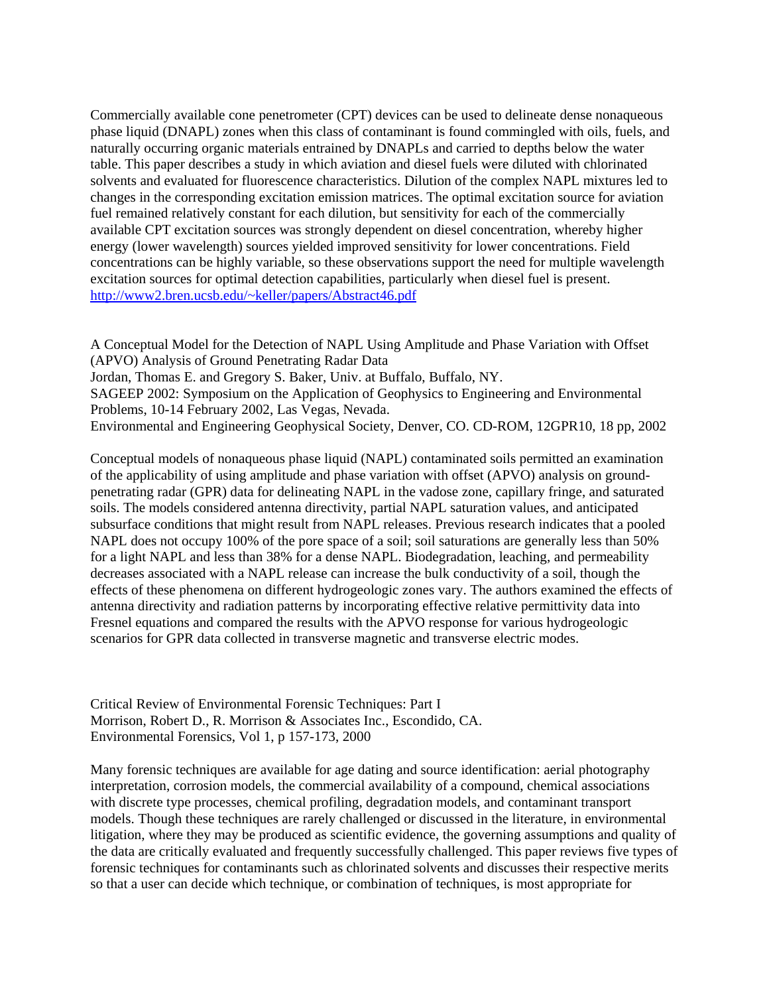Commercially available cone penetrometer (CPT) devices can be used to delineate dense nonaqueous phase liquid (DNAPL) zones when this class of contaminant is found commingled with oils, fuels, and naturally occurring organic materials entrained by DNAPLs and carried to depths below the water table. This paper describes a study in which aviation and diesel fuels were diluted with chlorinated solvents and evaluated for fluorescence characteristics. Dilution of the complex NAPL mixtures led to changes in the corresponding excitation emission matrices. The optimal excitation source for aviation fuel remained relatively constant for each dilution, but sensitivity for each of the commercially available CPT excitation sources was strongly dependent on diesel concentration, whereby higher energy (lower wavelength) sources yielded improved sensitivity for lower concentrations. Field concentrations can be highly variable, so these observations support the need for multiple wavelength excitation sources for optimal detection capabilities, particularly when diesel fuel is present. <http://www2.bren.ucsb.edu/~keller/papers/Abstract46.pdf>

A Conceptual Model for the Detection of NAPL Using Amplitude and Phase Variation with Offset (APVO) Analysis of Ground Penetrating Radar Data Jordan, Thomas E. and Gregory S. Baker, Univ. at Buffalo, Buffalo, NY. SAGEEP 2002: Symposium on the Application of Geophysics to Engineering and Environmental Problems, 10-14 February 2002, Las Vegas, Nevada. Environmental and Engineering Geophysical Society, Denver, CO. CD-ROM, 12GPR10, 18 pp, 2002

Conceptual models of nonaqueous phase liquid (NAPL) contaminated soils permitted an examination of the applicability of using amplitude and phase variation with offset (APVO) analysis on groundpenetrating radar (GPR) data for delineating NAPL in the vadose zone, capillary fringe, and saturated soils. The models considered antenna directivity, partial NAPL saturation values, and anticipated subsurface conditions that might result from NAPL releases. Previous research indicates that a pooled NAPL does not occupy 100% of the pore space of a soil; soil saturations are generally less than 50% for a light NAPL and less than 38% for a dense NAPL. Biodegradation, leaching, and permeability decreases associated with a NAPL release can increase the bulk conductivity of a soil, though the effects of these phenomena on different hydrogeologic zones vary. The authors examined the effects of antenna directivity and radiation patterns by incorporating effective relative permittivity data into Fresnel equations and compared the results with the APVO response for various hydrogeologic scenarios for GPR data collected in transverse magnetic and transverse electric modes.

Critical Review of Environmental Forensic Techniques: Part I Morrison, Robert D., R. Morrison & Associates Inc., Escondido, CA. Environmental Forensics, Vol 1, p 157-173, 2000

Many forensic techniques are available for age dating and source identification: aerial photography interpretation, corrosion models, the commercial availability of a compound, chemical associations with discrete type processes, chemical profiling, degradation models, and contaminant transport models. Though these techniques are rarely challenged or discussed in the literature, in environmental litigation, where they may be produced as scientific evidence, the governing assumptions and quality of the data are critically evaluated and frequently successfully challenged. This paper reviews five types of forensic techniques for contaminants such as chlorinated solvents and discusses their respective merits so that a user can decide which technique, or combination of techniques, is most appropriate for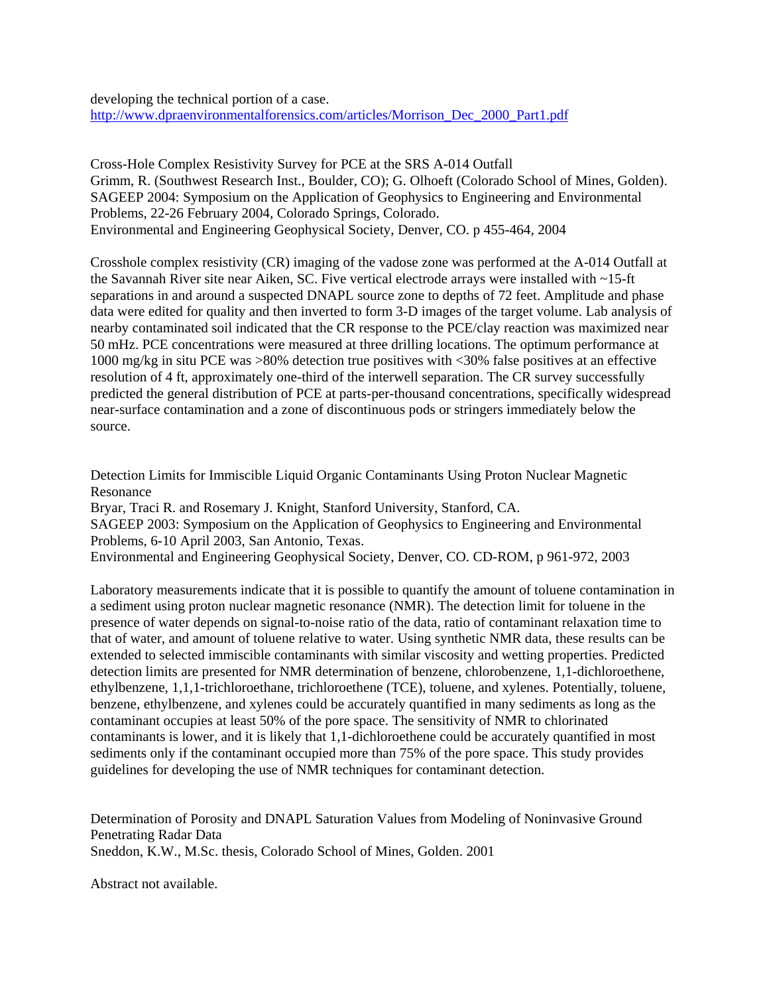developing the technical portion of a case. [http://www.dpraenvironmentalforensics.com/articles/Morrison\\_Dec\\_2000\\_Part1.pdf](http://www.dpraenvironmentalforensics.com/articles/Morrison_Dec_2000_Part1.pdf) 

Cross-Hole Complex Resistivity Survey for PCE at the SRS A-014 Outfall Grimm, R. (Southwest Research Inst., Boulder, CO); G. Olhoeft (Colorado School of Mines, Golden). SAGEEP 2004: Symposium on the Application of Geophysics to Engineering and Environmental Problems, 22-26 February 2004, Colorado Springs, Colorado. Environmental and Engineering Geophysical Society, Denver, CO. p 455-464, 2004

Crosshole complex resistivity (CR) imaging of the vadose zone was performed at the A-014 Outfall at the Savannah River site near Aiken, SC. Five vertical electrode arrays were installed with ~15-ft separations in and around a suspected DNAPL source zone to depths of 72 feet. Amplitude and phase data were edited for quality and then inverted to form 3-D images of the target volume. Lab analysis of nearby contaminated soil indicated that the CR response to the PCE/clay reaction was maximized near 50 mHz. PCE concentrations were measured at three drilling locations. The optimum performance at 1000 mg/kg in situ PCE was >80% detection true positives with <30% false positives at an effective resolution of 4 ft, approximately one-third of the interwell separation. The CR survey successfully predicted the general distribution of PCE at parts-per-thousand concentrations, specifically widespread near-surface contamination and a zone of discontinuous pods or stringers immediately below the source.

Detection Limits for Immiscible Liquid Organic Contaminants Using Proton Nuclear Magnetic Resonance

Bryar, Traci R. and Rosemary J. Knight, Stanford University, Stanford, CA. SAGEEP 2003: Symposium on the Application of Geophysics to Engineering and Environmental Problems, 6-10 April 2003, San Antonio, Texas.

Environmental and Engineering Geophysical Society, Denver, CO. CD-ROM, p 961-972, 2003

Laboratory measurements indicate that it is possible to quantify the amount of toluene contamination in a sediment using proton nuclear magnetic resonance (NMR). The detection limit for toluene in the presence of water depends on signal-to-noise ratio of the data, ratio of contaminant relaxation time to that of water, and amount of toluene relative to water. Using synthetic NMR data, these results can be extended to selected immiscible contaminants with similar viscosity and wetting properties. Predicted detection limits are presented for NMR determination of benzene, chlorobenzene, 1,1-dichloroethene, ethylbenzene, 1,1,1-trichloroethane, trichloroethene (TCE), toluene, and xylenes. Potentially, toluene, benzene, ethylbenzene, and xylenes could be accurately quantified in many sediments as long as the contaminant occupies at least 50% of the pore space. The sensitivity of NMR to chlorinated contaminants is lower, and it is likely that 1,1-dichloroethene could be accurately quantified in most sediments only if the contaminant occupied more than 75% of the pore space. This study provides guidelines for developing the use of NMR techniques for contaminant detection.

Determination of Porosity and DNAPL Saturation Values from Modeling of Noninvasive Ground Penetrating Radar Data Sneddon, K.W., M.Sc. thesis, Colorado School of Mines, Golden. 2001

Abstract not available.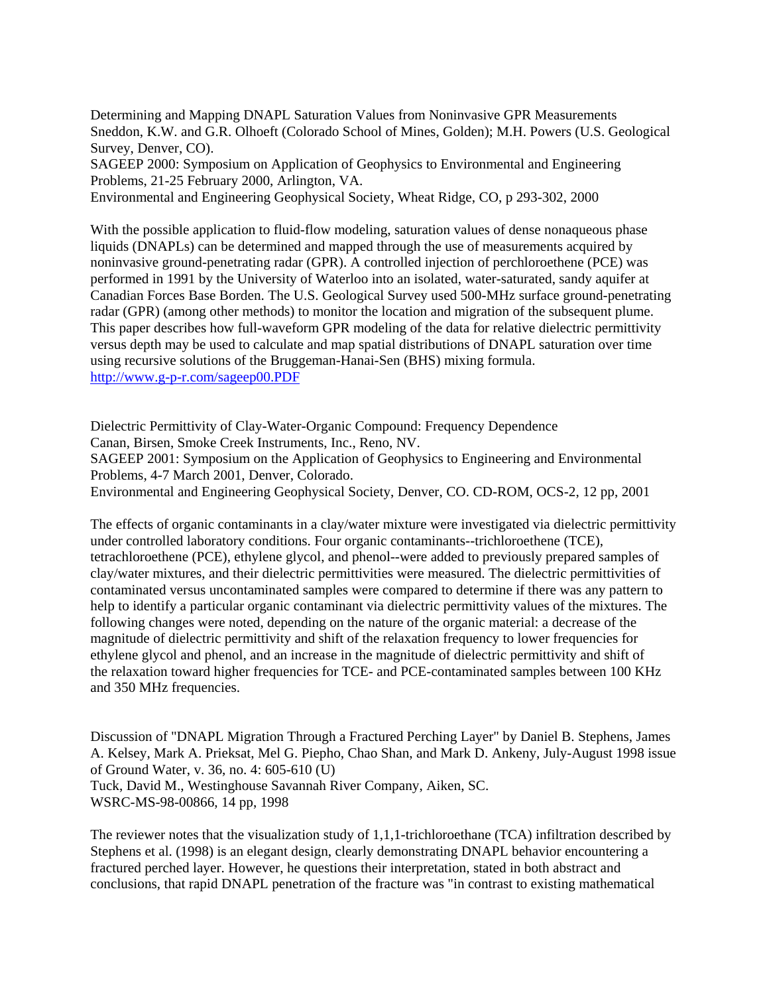Determining and Mapping DNAPL Saturation Values from Noninvasive GPR Measurements Sneddon, K.W. and G.R. Olhoeft (Colorado School of Mines, Golden); M.H. Powers (U.S. Geological Survey, Denver, CO).

SAGEEP 2000: Symposium on Application of Geophysics to Environmental and Engineering Problems, 21-25 February 2000, Arlington, VA.

Environmental and Engineering Geophysical Society, Wheat Ridge, CO, p 293-302, 2000

With the possible application to fluid-flow modeling, saturation values of dense nonaqueous phase liquids (DNAPLs) can be determined and mapped through the use of measurements acquired by noninvasive ground-penetrating radar (GPR). A controlled injection of perchloroethene (PCE) was performed in 1991 by the University of Waterloo into an isolated, water-saturated, sandy aquifer at Canadian Forces Base Borden. The U.S. Geological Survey used 500-MHz surface ground-penetrating radar (GPR) (among other methods) to monitor the location and migration of the subsequent plume. This paper describes how full-waveform GPR modeling of the data for relative dielectric permittivity versus depth may be used to calculate and map spatial distributions of DNAPL saturation over time using recursive solutions of the Bruggeman-Hanai-Sen (BHS) mixing formula. <http://www.g-p-r.com/sageep00.PDF>

Dielectric Permittivity of Clay-Water-Organic Compound: Frequency Dependence Canan, Birsen, Smoke Creek Instruments, Inc., Reno, NV. SAGEEP 2001: Symposium on the Application of Geophysics to Engineering and Environmental Problems, 4-7 March 2001, Denver, Colorado. Environmental and Engineering Geophysical Society, Denver, CO. CD-ROM, OCS-2, 12 pp, 2001

The effects of organic contaminants in a clay/water mixture were investigated via dielectric permittivity under controlled laboratory conditions. Four organic contaminants--trichloroethene (TCE), tetrachloroethene (PCE), ethylene glycol, and phenol--were added to previously prepared samples of clay/water mixtures, and their dielectric permittivities were measured. The dielectric permittivities of contaminated versus uncontaminated samples were compared to determine if there was any pattern to help to identify a particular organic contaminant via dielectric permittivity values of the mixtures. The following changes were noted, depending on the nature of the organic material: a decrease of the magnitude of dielectric permittivity and shift of the relaxation frequency to lower frequencies for ethylene glycol and phenol, and an increase in the magnitude of dielectric permittivity and shift of the relaxation toward higher frequencies for TCE- and PCE-contaminated samples between 100 KHz and 350 MHz frequencies.

Discussion of "DNAPL Migration Through a Fractured Perching Layer" by Daniel B. Stephens, James A. Kelsey, Mark A. Prieksat, Mel G. Piepho, Chao Shan, and Mark D. Ankeny, July-August 1998 issue of Ground Water, v. 36, no. 4: 605-610 (U) Tuck, David M., Westinghouse Savannah River Company, Aiken, SC. WSRC-MS-98-00866, 14 pp, 1998

The reviewer notes that the visualization study of 1,1,1-trichloroethane (TCA) infiltration described by Stephens et al. (1998) is an elegant design, clearly demonstrating DNAPL behavior encountering a fractured perched layer. However, he questions their interpretation, stated in both abstract and conclusions, that rapid DNAPL penetration of the fracture was "in contrast to existing mathematical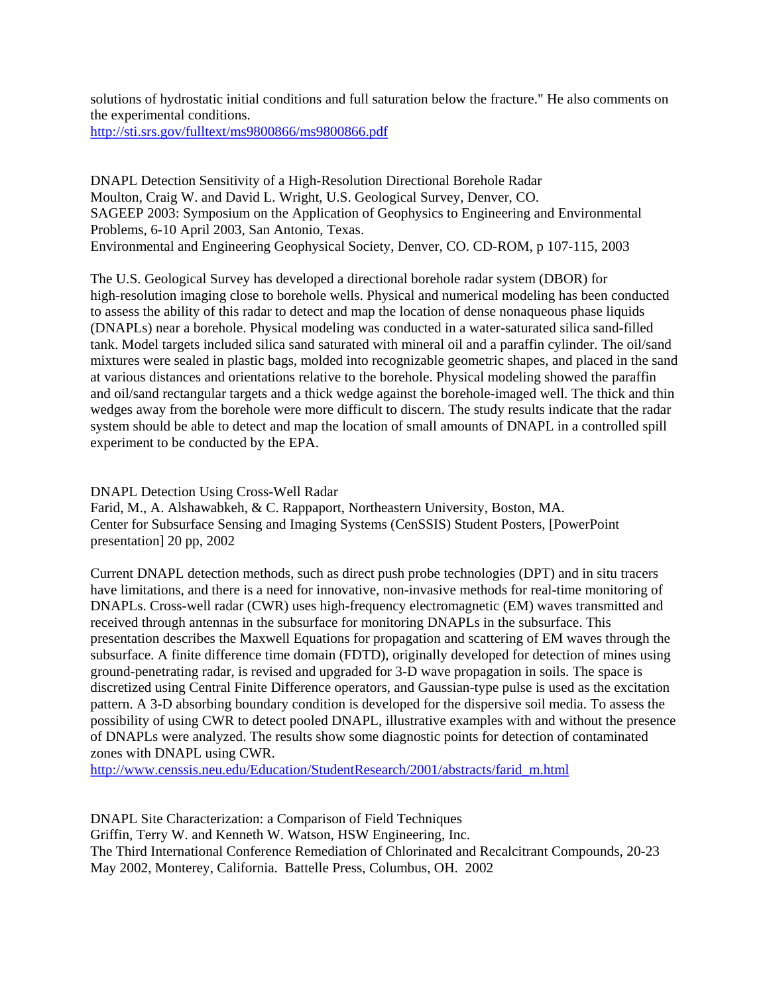solutions of hydrostatic initial conditions and full saturation below the fracture." He also comments on the experimental conditions.

<http://sti.srs.gov/fulltext/ms9800866/ms9800866.pdf>

DNAPL Detection Sensitivity of a High-Resolution Directional Borehole Radar Moulton, Craig W. and David L. Wright, U.S. Geological Survey, Denver, CO. SAGEEP 2003: Symposium on the Application of Geophysics to Engineering and Environmental Problems, 6-10 April 2003, San Antonio, Texas. Environmental and Engineering Geophysical Society, Denver, CO. CD-ROM, p 107-115, 2003

The U.S. Geological Survey has developed a directional borehole radar system (DBOR) for high-resolution imaging close to borehole wells. Physical and numerical modeling has been conducted to assess the ability of this radar to detect and map the location of dense nonaqueous phase liquids (DNAPLs) near a borehole. Physical modeling was conducted in a water-saturated silica sand-filled tank. Model targets included silica sand saturated with mineral oil and a paraffin cylinder. The oil/sand mixtures were sealed in plastic bags, molded into recognizable geometric shapes, and placed in the sand at various distances and orientations relative to the borehole. Physical modeling showed the paraffin and oil/sand rectangular targets and a thick wedge against the borehole-imaged well. The thick and thin wedges away from the borehole were more difficult to discern. The study results indicate that the radar system should be able to detect and map the location of small amounts of DNAPL in a controlled spill experiment to be conducted by the EPA.

DNAPL Detection Using Cross-Well Radar

Farid, M., A. Alshawabkeh, & C. Rappaport, Northeastern University, Boston, MA. Center for Subsurface Sensing and Imaging Systems (CenSSIS) Student Posters, [PowerPoint presentation] 20 pp, 2002

Current DNAPL detection methods, such as direct push probe technologies (DPT) and in situ tracers have limitations, and there is a need for innovative, non-invasive methods for real-time monitoring of DNAPLs. Cross-well radar (CWR) uses high-frequency electromagnetic (EM) waves transmitted and received through antennas in the subsurface for monitoring DNAPLs in the subsurface. This presentation describes the Maxwell Equations for propagation and scattering of EM waves through the subsurface. A finite difference time domain (FDTD), originally developed for detection of mines using ground-penetrating radar, is revised and upgraded for 3-D wave propagation in soils. The space is discretized using Central Finite Difference operators, and Gaussian-type pulse is used as the excitation pattern. A 3-D absorbing boundary condition is developed for the dispersive soil media. To assess the possibility of using CWR to detect pooled DNAPL, illustrative examples with and without the presence of DNAPLs were analyzed. The results show some diagnostic points for detection of contaminated zones with DNAPL using CWR.

[http://www.censsis.neu.edu/Education/StudentResearch/2001/abstracts/farid\\_m.html](http://www.censsis.neu.edu/Education/StudentResearch/2001/abstracts/farid_m.html)

DNAPL Site Characterization: a Comparison of Field Techniques Griffin, Terry W. and Kenneth W. Watson, HSW Engineering, Inc. The Third International Conference Remediation of Chlorinated and Recalcitrant Compounds, 20-23 May 2002, Monterey, California. Battelle Press, Columbus, OH. 2002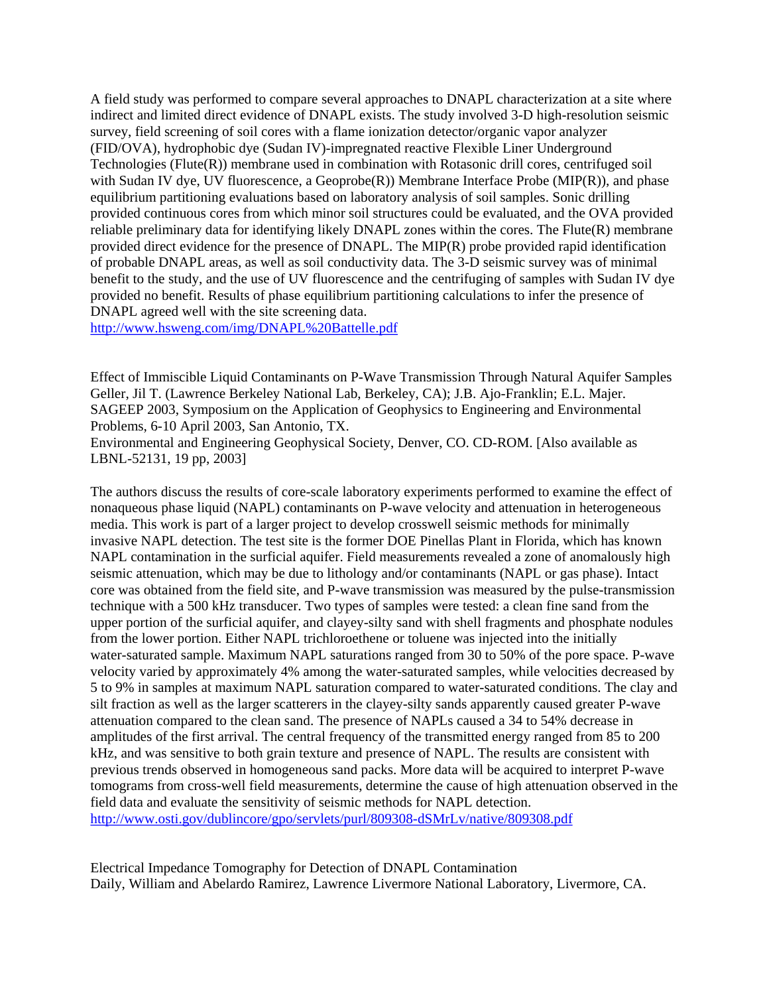A field study was performed to compare several approaches to DNAPL characterization at a site where indirect and limited direct evidence of DNAPL exists. The study involved 3-D high-resolution seismic survey, field screening of soil cores with a flame ionization detector/organic vapor analyzer (FID/OVA), hydrophobic dye (Sudan IV)-impregnated reactive Flexible Liner Underground Technologies (Flute(R)) membrane used in combination with Rotasonic drill cores, centrifuged soil with Sudan IV dye, UV fluorescence, a Geoprobe(R)) Membrane Interface Probe (MIP(R)), and phase equilibrium partitioning evaluations based on laboratory analysis of soil samples. Sonic drilling provided continuous cores from which minor soil structures could be evaluated, and the OVA provided reliable preliminary data for identifying likely DNAPL zones within the cores. The Flute(R) membrane provided direct evidence for the presence of DNAPL. The MIP(R) probe provided rapid identification of probable DNAPL areas, as well as soil conductivity data. The 3-D seismic survey was of minimal benefit to the study, and the use of UV fluorescence and the centrifuging of samples with Sudan IV dye provided no benefit. Results of phase equilibrium partitioning calculations to infer the presence of DNAPL agreed well with the site screening data.

<http://www.hsweng.com/img/DNAPL%20Battelle.pdf>

Effect of Immiscible Liquid Contaminants on P-Wave Transmission Through Natural Aquifer Samples Geller, Jil T. (Lawrence Berkeley National Lab, Berkeley, CA); J.B. Ajo-Franklin; E.L. Majer. SAGEEP 2003, Symposium on the Application of Geophysics to Engineering and Environmental Problems, 6-10 April 2003, San Antonio, TX.

Environmental and Engineering Geophysical Society, Denver, CO. CD-ROM. [Also available as LBNL-52131, 19 pp, 2003]

The authors discuss the results of core-scale laboratory experiments performed to examine the effect of nonaqueous phase liquid (NAPL) contaminants on P-wave velocity and attenuation in heterogeneous media. This work is part of a larger project to develop crosswell seismic methods for minimally invasive NAPL detection. The test site is the former DOE Pinellas Plant in Florida, which has known NAPL contamination in the surficial aquifer. Field measurements revealed a zone of anomalously high seismic attenuation, which may be due to lithology and/or contaminants (NAPL or gas phase). Intact core was obtained from the field site, and P-wave transmission was measured by the pulse-transmission technique with a 500 kHz transducer. Two types of samples were tested: a clean fine sand from the upper portion of the surficial aquifer, and clayey-silty sand with shell fragments and phosphate nodules from the lower portion. Either NAPL trichloroethene or toluene was injected into the initially water-saturated sample. Maximum NAPL saturations ranged from 30 to 50% of the pore space. P-wave velocity varied by approximately 4% among the water-saturated samples, while velocities decreased by 5 to 9% in samples at maximum NAPL saturation compared to water-saturated conditions. The clay and silt fraction as well as the larger scatterers in the clayey-silty sands apparently caused greater P-wave attenuation compared to the clean sand. The presence of NAPLs caused a 34 to 54% decrease in amplitudes of the first arrival. The central frequency of the transmitted energy ranged from 85 to 200 kHz, and was sensitive to both grain texture and presence of NAPL. The results are consistent with previous trends observed in homogeneous sand packs. More data will be acquired to interpret P-wave tomograms from cross-well field measurements, determine the cause of high attenuation observed in the field data and evaluate the sensitivity of seismic methods for NAPL detection. <http://www.osti.gov/dublincore/gpo/servlets/purl/809308-dSMrLv/native/809308.pdf>

Electrical Impedance Tomography for Detection of DNAPL Contamination Daily, William and Abelardo Ramirez, Lawrence Livermore National Laboratory, Livermore, CA.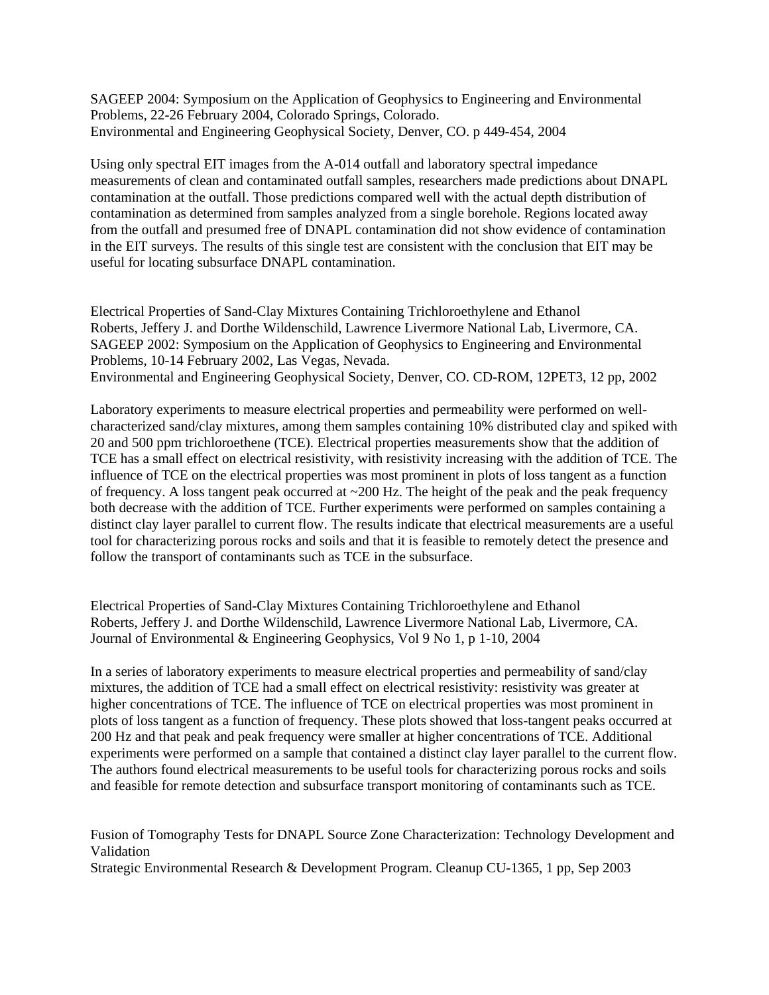SAGEEP 2004: Symposium on the Application of Geophysics to Engineering and Environmental Problems, 22-26 February 2004, Colorado Springs, Colorado. Environmental and Engineering Geophysical Society, Denver, CO. p 449-454, 2004

Using only spectral EIT images from the A-014 outfall and laboratory spectral impedance measurements of clean and contaminated outfall samples, researchers made predictions about DNAPL contamination at the outfall. Those predictions compared well with the actual depth distribution of contamination as determined from samples analyzed from a single borehole. Regions located away from the outfall and presumed free of DNAPL contamination did not show evidence of contamination in the EIT surveys. The results of this single test are consistent with the conclusion that EIT may be useful for locating subsurface DNAPL contamination.

Electrical Properties of Sand-Clay Mixtures Containing Trichloroethylene and Ethanol Roberts, Jeffery J. and Dorthe Wildenschild, Lawrence Livermore National Lab, Livermore, CA. SAGEEP 2002: Symposium on the Application of Geophysics to Engineering and Environmental Problems, 10-14 February 2002, Las Vegas, Nevada. Environmental and Engineering Geophysical Society, Denver, CO. CD-ROM, 12PET3, 12 pp, 2002

Laboratory experiments to measure electrical properties and permeability were performed on wellcharacterized sand/clay mixtures, among them samples containing 10% distributed clay and spiked with 20 and 500 ppm trichloroethene (TCE). Electrical properties measurements show that the addition of TCE has a small effect on electrical resistivity, with resistivity increasing with the addition of TCE. The influence of TCE on the electrical properties was most prominent in plots of loss tangent as a function of frequency. A loss tangent peak occurred at ~200 Hz. The height of the peak and the peak frequency both decrease with the addition of TCE. Further experiments were performed on samples containing a distinct clay layer parallel to current flow. The results indicate that electrical measurements are a useful tool for characterizing porous rocks and soils and that it is feasible to remotely detect the presence and follow the transport of contaminants such as TCE in the subsurface.

Electrical Properties of Sand-Clay Mixtures Containing Trichloroethylene and Ethanol Roberts, Jeffery J. and Dorthe Wildenschild, Lawrence Livermore National Lab, Livermore, CA. Journal of Environmental & Engineering Geophysics, Vol 9 No 1, p 1-10, 2004

In a series of laboratory experiments to measure electrical properties and permeability of sand/clay mixtures, the addition of TCE had a small effect on electrical resistivity: resistivity was greater at higher concentrations of TCE. The influence of TCE on electrical properties was most prominent in plots of loss tangent as a function of frequency. These plots showed that loss-tangent peaks occurred at 200 Hz and that peak and peak frequency were smaller at higher concentrations of TCE. Additional experiments were performed on a sample that contained a distinct clay layer parallel to the current flow. The authors found electrical measurements to be useful tools for characterizing porous rocks and soils and feasible for remote detection and subsurface transport monitoring of contaminants such as TCE.

Fusion of Tomography Tests for DNAPL Source Zone Characterization: Technology Development and Validation

Strategic Environmental Research & Development Program. Cleanup CU-1365, 1 pp, Sep 2003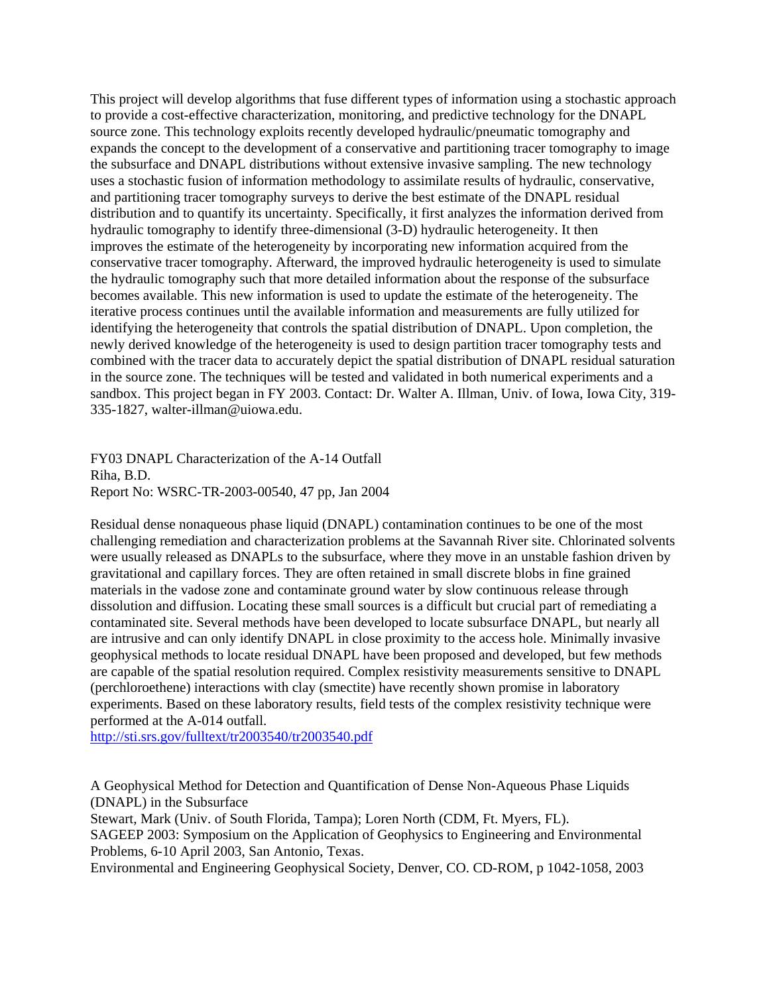This project will develop algorithms that fuse different types of information using a stochastic approach to provide a cost-effective characterization, monitoring, and predictive technology for the DNAPL source zone. This technology exploits recently developed hydraulic/pneumatic tomography and expands the concept to the development of a conservative and partitioning tracer tomography to image the subsurface and DNAPL distributions without extensive invasive sampling. The new technology uses a stochastic fusion of information methodology to assimilate results of hydraulic, conservative, and partitioning tracer tomography surveys to derive the best estimate of the DNAPL residual distribution and to quantify its uncertainty. Specifically, it first analyzes the information derived from hydraulic tomography to identify three-dimensional (3-D) hydraulic heterogeneity. It then improves the estimate of the heterogeneity by incorporating new information acquired from the conservative tracer tomography. Afterward, the improved hydraulic heterogeneity is used to simulate the hydraulic tomography such that more detailed information about the response of the subsurface becomes available. This new information is used to update the estimate of the heterogeneity. The iterative process continues until the available information and measurements are fully utilized for identifying the heterogeneity that controls the spatial distribution of DNAPL. Upon completion, the newly derived knowledge of the heterogeneity is used to design partition tracer tomography tests and combined with the tracer data to accurately depict the spatial distribution of DNAPL residual saturation in the source zone. The techniques will be tested and validated in both numerical experiments and a sandbox. This project began in FY 2003. Contact: Dr. Walter A. Illman, Univ. of Iowa, Iowa City, 319- 335-1827, walter-illman@uiowa.edu.

FY03 DNAPL Characterization of the A-14 Outfall Riha, B.D. Report No: WSRC-TR-2003-00540, 47 pp, Jan 2004

Residual dense nonaqueous phase liquid (DNAPL) contamination continues to be one of the most challenging remediation and characterization problems at the Savannah River site. Chlorinated solvents were usually released as DNAPLs to the subsurface, where they move in an unstable fashion driven by gravitational and capillary forces. They are often retained in small discrete blobs in fine grained materials in the vadose zone and contaminate ground water by slow continuous release through dissolution and diffusion. Locating these small sources is a difficult but crucial part of remediating a contaminated site. Several methods have been developed to locate subsurface DNAPL, but nearly all are intrusive and can only identify DNAPL in close proximity to the access hole. Minimally invasive geophysical methods to locate residual DNAPL have been proposed and developed, but few methods are capable of the spatial resolution required. Complex resistivity measurements sensitive to DNAPL (perchloroethene) interactions with clay (smectite) have recently shown promise in laboratory experiments. Based on these laboratory results, field tests of the complex resistivity technique were performed at the A-014 outfall.

<http://sti.srs.gov/fulltext/tr2003540/tr2003540.pdf>

A Geophysical Method for Detection and Quantification of Dense Non-Aqueous Phase Liquids (DNAPL) in the Subsurface

Stewart, Mark (Univ. of South Florida, Tampa); Loren North (CDM, Ft. Myers, FL). SAGEEP 2003: Symposium on the Application of Geophysics to Engineering and Environmental Problems, 6-10 April 2003, San Antonio, Texas.

Environmental and Engineering Geophysical Society, Denver, CO. CD-ROM, p 1042-1058, 2003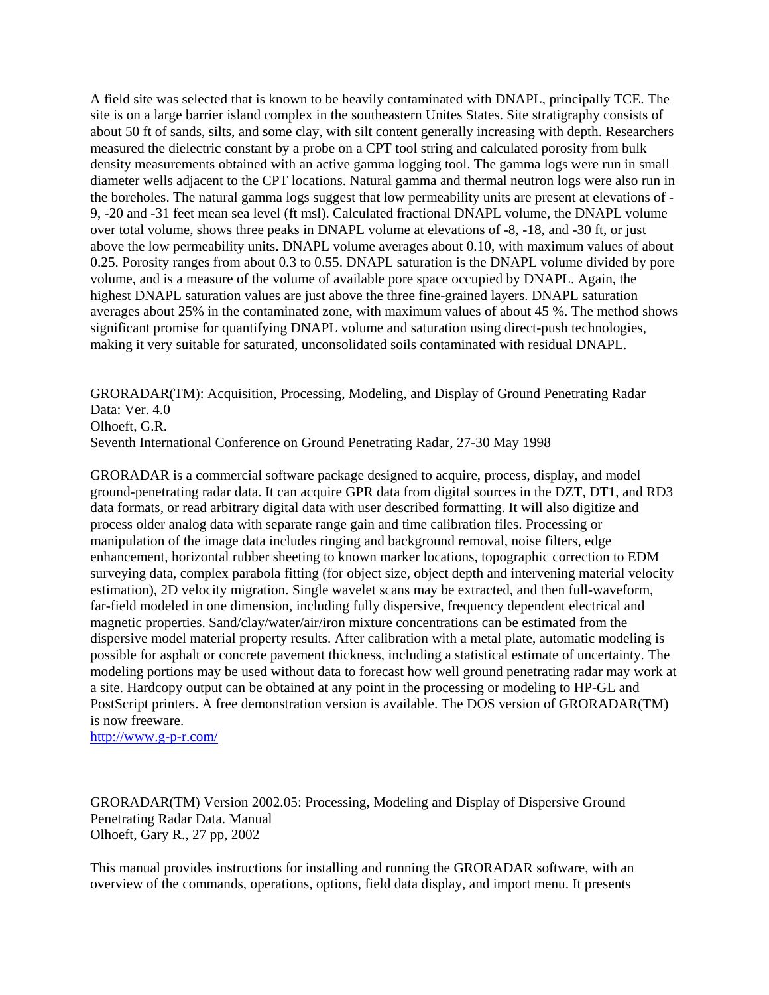A field site was selected that is known to be heavily contaminated with DNAPL, principally TCE. The site is on a large barrier island complex in the southeastern Unites States. Site stratigraphy consists of about 50 ft of sands, silts, and some clay, with silt content generally increasing with depth. Researchers measured the dielectric constant by a probe on a CPT tool string and calculated porosity from bulk density measurements obtained with an active gamma logging tool. The gamma logs were run in small diameter wells adjacent to the CPT locations. Natural gamma and thermal neutron logs were also run in the boreholes. The natural gamma logs suggest that low permeability units are present at elevations of - 9, -20 and -31 feet mean sea level (ft msl). Calculated fractional DNAPL volume, the DNAPL volume over total volume, shows three peaks in DNAPL volume at elevations of -8, -18, and -30 ft, or just above the low permeability units. DNAPL volume averages about 0.10, with maximum values of about 0.25. Porosity ranges from about 0.3 to 0.55. DNAPL saturation is the DNAPL volume divided by pore volume, and is a measure of the volume of available pore space occupied by DNAPL. Again, the highest DNAPL saturation values are just above the three fine-grained layers. DNAPL saturation averages about 25% in the contaminated zone, with maximum values of about 45 %. The method shows significant promise for quantifying DNAPL volume and saturation using direct-push technologies, making it very suitable for saturated, unconsolidated soils contaminated with residual DNAPL.

GRORADAR(TM): Acquisition, Processing, Modeling, and Display of Ground Penetrating Radar Data: Ver. 4.0 Olhoeft, G.R. Seventh International Conference on Ground Penetrating Radar, 27-30 May 1998

GRORADAR is a commercial software package designed to acquire, process, display, and model ground-penetrating radar data. It can acquire GPR data from digital sources in the DZT, DT1, and RD3 data formats, or read arbitrary digital data with user described formatting. It will also digitize and process older analog data with separate range gain and time calibration files. Processing or manipulation of the image data includes ringing and background removal, noise filters, edge enhancement, horizontal rubber sheeting to known marker locations, topographic correction to EDM surveying data, complex parabola fitting (for object size, object depth and intervening material velocity estimation), 2D velocity migration. Single wavelet scans may be extracted, and then full-waveform, far-field modeled in one dimension, including fully dispersive, frequency dependent electrical and magnetic properties. Sand/clay/water/air/iron mixture concentrations can be estimated from the dispersive model material property results. After calibration with a metal plate, automatic modeling is possible for asphalt or concrete pavement thickness, including a statistical estimate of uncertainty. The modeling portions may be used without data to forecast how well ground penetrating radar may work at a site. Hardcopy output can be obtained at any point in the processing or modeling to HP-GL and PostScript printers. A free demonstration version is available. The DOS version of GRORADAR(TM) is now freeware.

<http://www.g-p-r.com/>

GRORADAR(TM) Version 2002.05: Processing, Modeling and Display of Dispersive Ground Penetrating Radar Data. Manual Olhoeft, Gary R., 27 pp, 2002

This manual provides instructions for installing and running the GRORADAR software, with an overview of the commands, operations, options, field data display, and import menu. It presents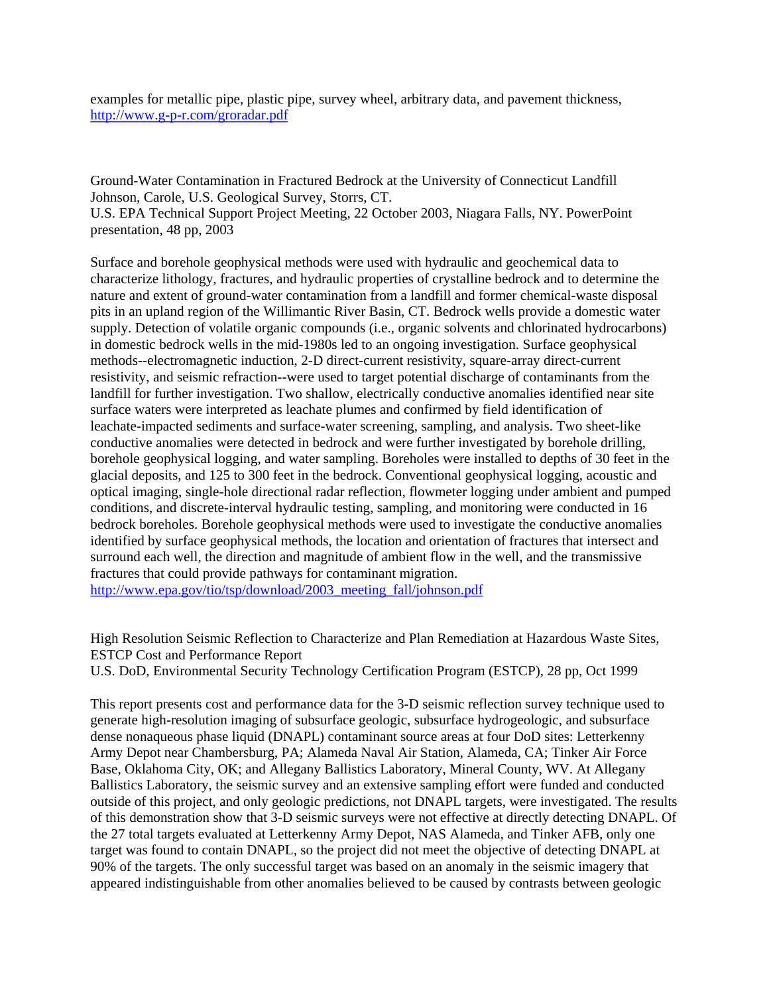examples for metallic pipe, plastic pipe, survey wheel, arbitrary data, and pavement thickness, <http://www.g-p-r.com/groradar.pdf>

Ground-Water Contamination in Fractured Bedrock at the University of Connecticut Landfill Johnson, Carole, U.S. Geological Survey, Storrs, CT.

U.S. EPA Technical Support Project Meeting, 22 October 2003, Niagara Falls, NY. PowerPoint presentation, 48 pp, 2003

Surface and borehole geophysical methods were used with hydraulic and geochemical data to characterize lithology, fractures, and hydraulic properties of crystalline bedrock and to determine the nature and extent of ground-water contamination from a landfill and former chemical-waste disposal pits in an upland region of the Willimantic River Basin, CT. Bedrock wells provide a domestic water supply. Detection of volatile organic compounds (i.e., organic solvents and chlorinated hydrocarbons) in domestic bedrock wells in the mid-1980s led to an ongoing investigation. Surface geophysical methods--electromagnetic induction, 2-D direct-current resistivity, square-array direct-current resistivity, and seismic refraction--were used to target potential discharge of contaminants from the landfill for further investigation. Two shallow, electrically conductive anomalies identified near site surface waters were interpreted as leachate plumes and confirmed by field identification of leachate-impacted sediments and surface-water screening, sampling, and analysis. Two sheet-like conductive anomalies were detected in bedrock and were further investigated by borehole drilling, borehole geophysical logging, and water sampling. Boreholes were installed to depths of 30 feet in the glacial deposits, and 125 to 300 feet in the bedrock. Conventional geophysical logging, acoustic and optical imaging, single-hole directional radar reflection, flowmeter logging under ambient and pumped conditions, and discrete-interval hydraulic testing, sampling, and monitoring were conducted in 16 bedrock boreholes. Borehole geophysical methods were used to investigate the conductive anomalies identified by surface geophysical methods, the location and orientation of fractures that intersect and surround each well, the direction and magnitude of ambient flow in the well, and the transmissive fractures that could provide pathways for contaminant migration.

[http://www.epa.gov/tio/tsp/download/2003\\_meeting\\_fall/johnson.pdf](http://www.epa.gov/tio/tsp/download/2003_meeting_fall/johnson.pdf) 

High Resolution Seismic Reflection to Characterize and Plan Remediation at Hazardous Waste Sites, ESTCP Cost and Performance Report

U.S. DoD, Environmental Security Technology Certification Program (ESTCP), 28 pp, Oct 1999

This report presents cost and performance data for the 3-D seismic reflection survey technique used to generate high-resolution imaging of subsurface geologic, subsurface hydrogeologic, and subsurface dense nonaqueous phase liquid (DNAPL) contaminant source areas at four DoD sites: Letterkenny Army Depot near Chambersburg, PA; Alameda Naval Air Station, Alameda, CA; Tinker Air Force Base, Oklahoma City, OK; and Allegany Ballistics Laboratory, Mineral County, WV. At Allegany Ballistics Laboratory, the seismic survey and an extensive sampling effort were funded and conducted outside of this project, and only geologic predictions, not DNAPL targets, were investigated. The results of this demonstration show that 3-D seismic surveys were not effective at directly detecting DNAPL. Of the 27 total targets evaluated at Letterkenny Army Depot, NAS Alameda, and Tinker AFB, only one target was found to contain DNAPL, so the project did not meet the objective of detecting DNAPL at 90% of the targets. The only successful target was based on an anomaly in the seismic imagery that appeared indistinguishable from other anomalies believed to be caused by contrasts between geologic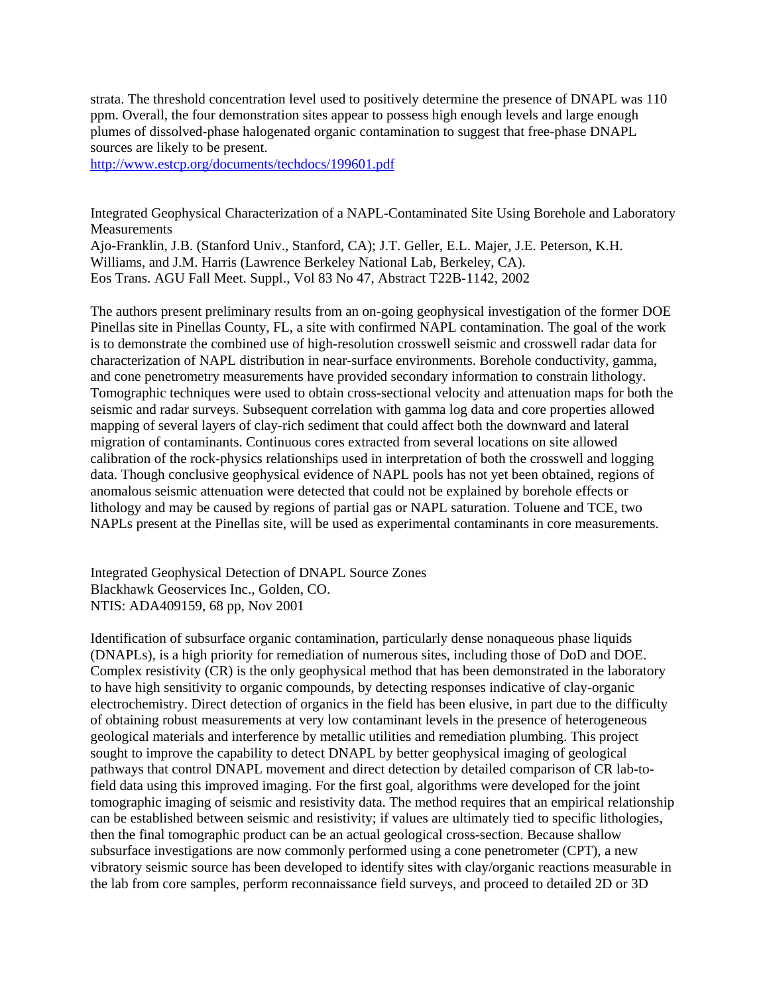strata. The threshold concentration level used to positively determine the presence of DNAPL was 110 ppm. Overall, the four demonstration sites appear to possess high enough levels and large enough plumes of dissolved-phase halogenated organic contamination to suggest that free-phase DNAPL sources are likely to be present.

<http://www.estcp.org/documents/techdocs/199601.pdf>

Integrated Geophysical Characterization of a NAPL-Contaminated Site Using Borehole and Laboratory Measurements Ajo-Franklin, J.B. (Stanford Univ., Stanford, CA); J.T. Geller, E.L. Majer, J.E. Peterson, K.H. Williams, and J.M. Harris (Lawrence Berkeley National Lab, Berkeley, CA). Eos Trans. AGU Fall Meet. Suppl., Vol 83 No 47, Abstract T22B-1142, 2002

The authors present preliminary results from an on-going geophysical investigation of the former DOE Pinellas site in Pinellas County, FL, a site with confirmed NAPL contamination. The goal of the work is to demonstrate the combined use of high-resolution crosswell seismic and crosswell radar data for characterization of NAPL distribution in near-surface environments. Borehole conductivity, gamma, and cone penetrometry measurements have provided secondary information to constrain lithology. Tomographic techniques were used to obtain cross-sectional velocity and attenuation maps for both the seismic and radar surveys. Subsequent correlation with gamma log data and core properties allowed mapping of several layers of clay-rich sediment that could affect both the downward and lateral migration of contaminants. Continuous cores extracted from several locations on site allowed calibration of the rock-physics relationships used in interpretation of both the crosswell and logging data. Though conclusive geophysical evidence of NAPL pools has not yet been obtained, regions of anomalous seismic attenuation were detected that could not be explained by borehole effects or lithology and may be caused by regions of partial gas or NAPL saturation. Toluene and TCE, two NAPLs present at the Pinellas site, will be used as experimental contaminants in core measurements.

Integrated Geophysical Detection of DNAPL Source Zones Blackhawk Geoservices Inc., Golden, CO. NTIS: ADA409159, 68 pp, Nov 2001

Identification of subsurface organic contamination, particularly dense nonaqueous phase liquids (DNAPLs), is a high priority for remediation of numerous sites, including those of DoD and DOE. Complex resistivity (CR) is the only geophysical method that has been demonstrated in the laboratory to have high sensitivity to organic compounds, by detecting responses indicative of clay-organic electrochemistry. Direct detection of organics in the field has been elusive, in part due to the difficulty of obtaining robust measurements at very low contaminant levels in the presence of heterogeneous geological materials and interference by metallic utilities and remediation plumbing. This project sought to improve the capability to detect DNAPL by better geophysical imaging of geological pathways that control DNAPL movement and direct detection by detailed comparison of CR lab-tofield data using this improved imaging. For the first goal, algorithms were developed for the joint tomographic imaging of seismic and resistivity data. The method requires that an empirical relationship can be established between seismic and resistivity; if values are ultimately tied to specific lithologies, then the final tomographic product can be an actual geological cross-section. Because shallow subsurface investigations are now commonly performed using a cone penetrometer (CPT), a new vibratory seismic source has been developed to identify sites with clay/organic reactions measurable in the lab from core samples, perform reconnaissance field surveys, and proceed to detailed 2D or 3D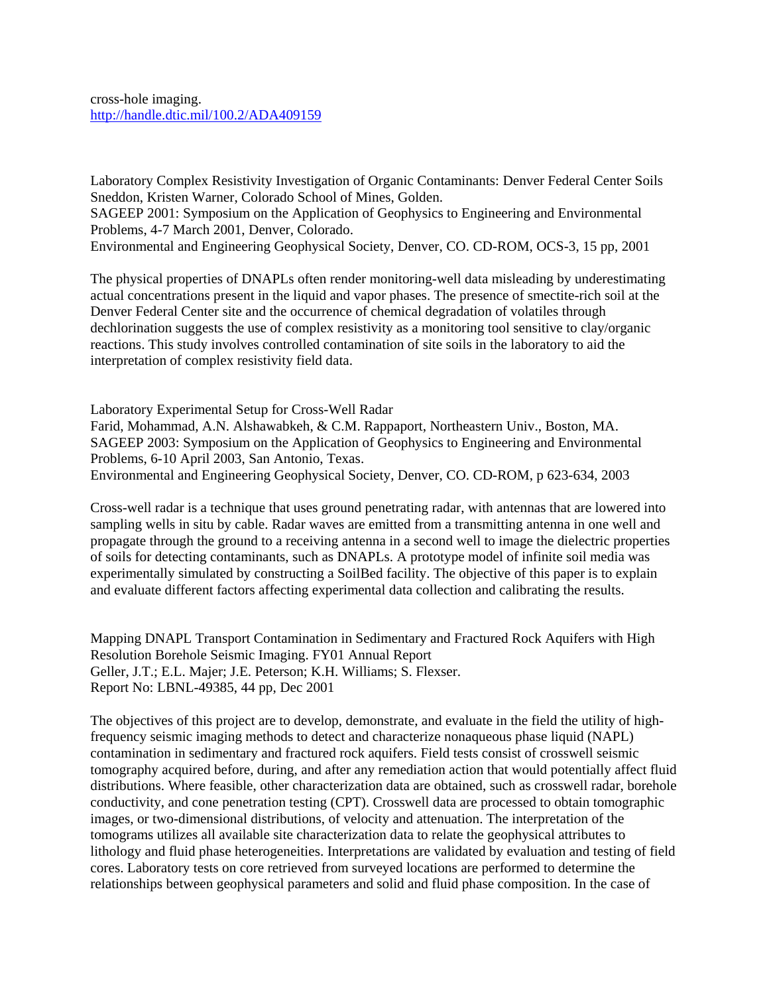## cross-hole imaging. <http://handle.dtic.mil/100.2/ADA409159>

Laboratory Complex Resistivity Investigation of Organic Contaminants: Denver Federal Center Soils Sneddon, Kristen Warner, Colorado School of Mines, Golden. SAGEEP 2001: Symposium on the Application of Geophysics to Engineering and Environmental Problems, 4-7 March 2001, Denver, Colorado. Environmental and Engineering Geophysical Society, Denver, CO. CD-ROM, OCS-3, 15 pp, 2001

The physical properties of DNAPLs often render monitoring-well data misleading by underestimating actual concentrations present in the liquid and vapor phases. The presence of smectite-rich soil at the Denver Federal Center site and the occurrence of chemical degradation of volatiles through dechlorination suggests the use of complex resistivity as a monitoring tool sensitive to clay/organic reactions. This study involves controlled contamination of site soils in the laboratory to aid the interpretation of complex resistivity field data.

Laboratory Experimental Setup for Cross-Well Radar Farid, Mohammad, A.N. Alshawabkeh, & C.M. Rappaport, Northeastern Univ., Boston, MA. SAGEEP 2003: Symposium on the Application of Geophysics to Engineering and Environmental Problems, 6-10 April 2003, San Antonio, Texas. Environmental and Engineering Geophysical Society, Denver, CO. CD-ROM, p 623-634, 2003

Cross-well radar is a technique that uses ground penetrating radar, with antennas that are lowered into sampling wells in situ by cable. Radar waves are emitted from a transmitting antenna in one well and propagate through the ground to a receiving antenna in a second well to image the dielectric properties of soils for detecting contaminants, such as DNAPLs. A prototype model of infinite soil media was experimentally simulated by constructing a SoilBed facility. The objective of this paper is to explain and evaluate different factors affecting experimental data collection and calibrating the results.

Mapping DNAPL Transport Contamination in Sedimentary and Fractured Rock Aquifers with High Resolution Borehole Seismic Imaging. FY01 Annual Report Geller, J.T.; E.L. Majer; J.E. Peterson; K.H. Williams; S. Flexser. Report No: LBNL-49385, 44 pp, Dec 2001

The objectives of this project are to develop, demonstrate, and evaluate in the field the utility of highfrequency seismic imaging methods to detect and characterize nonaqueous phase liquid (NAPL) contamination in sedimentary and fractured rock aquifers. Field tests consist of crosswell seismic tomography acquired before, during, and after any remediation action that would potentially affect fluid distributions. Where feasible, other characterization data are obtained, such as crosswell radar, borehole conductivity, and cone penetration testing (CPT). Crosswell data are processed to obtain tomographic images, or two-dimensional distributions, of velocity and attenuation. The interpretation of the tomograms utilizes all available site characterization data to relate the geophysical attributes to lithology and fluid phase heterogeneities. Interpretations are validated by evaluation and testing of field cores. Laboratory tests on core retrieved from surveyed locations are performed to determine the relationships between geophysical parameters and solid and fluid phase composition. In the case of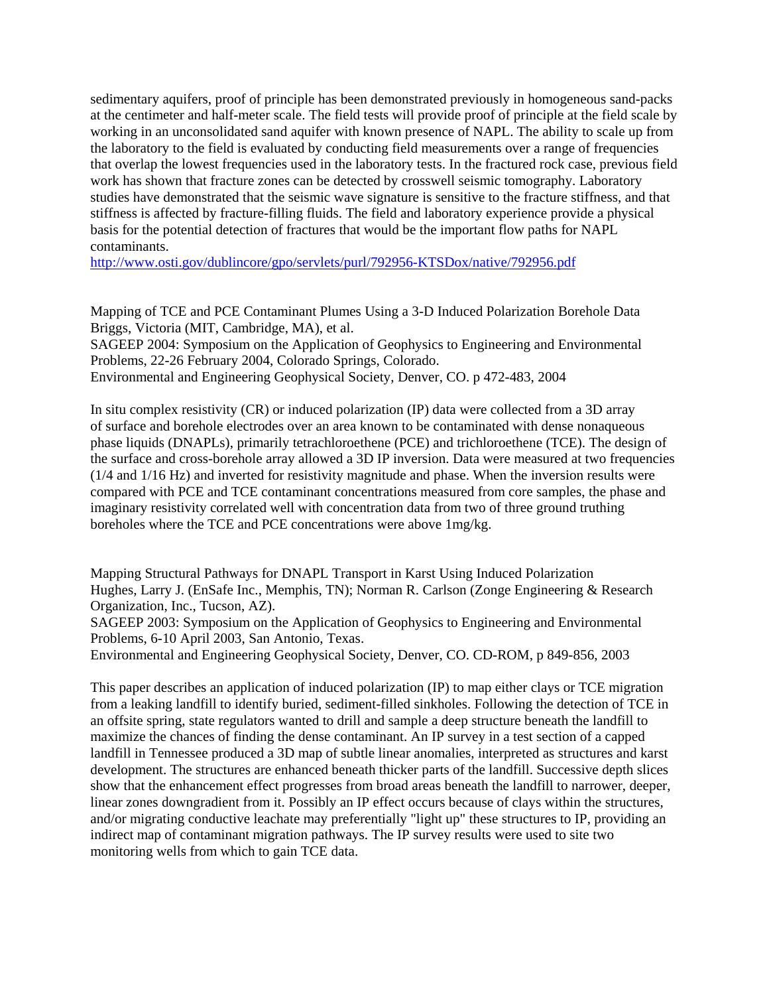sedimentary aquifers, proof of principle has been demonstrated previously in homogeneous sand-packs at the centimeter and half-meter scale. The field tests will provide proof of principle at the field scale by working in an unconsolidated sand aquifer with known presence of NAPL. The ability to scale up from the laboratory to the field is evaluated by conducting field measurements over a range of frequencies that overlap the lowest frequencies used in the laboratory tests. In the fractured rock case, previous field work has shown that fracture zones can be detected by crosswell seismic tomography. Laboratory studies have demonstrated that the seismic wave signature is sensitive to the fracture stiffness, and that stiffness is affected by fracture-filling fluids. The field and laboratory experience provide a physical basis for the potential detection of fractures that would be the important flow paths for NAPL contaminants.

<http://www.osti.gov/dublincore/gpo/servlets/purl/792956-KTSDox/native/792956.pdf>

Mapping of TCE and PCE Contaminant Plumes Using a 3-D Induced Polarization Borehole Data Briggs, Victoria (MIT, Cambridge, MA), et al.

SAGEEP 2004: Symposium on the Application of Geophysics to Engineering and Environmental Problems, 22-26 February 2004, Colorado Springs, Colorado.

Environmental and Engineering Geophysical Society, Denver, CO. p 472-483, 2004

In situ complex resistivity (CR) or induced polarization (IP) data were collected from a 3D array of surface and borehole electrodes over an area known to be contaminated with dense nonaqueous phase liquids (DNAPLs), primarily tetrachloroethene (PCE) and trichloroethene (TCE). The design of the surface and cross-borehole array allowed a 3D IP inversion. Data were measured at two frequencies (1/4 and 1/16 Hz) and inverted for resistivity magnitude and phase. When the inversion results were compared with PCE and TCE contaminant concentrations measured from core samples, the phase and imaginary resistivity correlated well with concentration data from two of three ground truthing boreholes where the TCE and PCE concentrations were above 1mg/kg.

Mapping Structural Pathways for DNAPL Transport in Karst Using Induced Polarization Hughes, Larry J. (EnSafe Inc., Memphis, TN); Norman R. Carlson (Zonge Engineering & Research Organization, Inc., Tucson, AZ).

SAGEEP 2003: Symposium on the Application of Geophysics to Engineering and Environmental Problems, 6-10 April 2003, San Antonio, Texas.

Environmental and Engineering Geophysical Society, Denver, CO. CD-ROM, p 849-856, 2003

This paper describes an application of induced polarization (IP) to map either clays or TCE migration from a leaking landfill to identify buried, sediment-filled sinkholes. Following the detection of TCE in an offsite spring, state regulators wanted to drill and sample a deep structure beneath the landfill to maximize the chances of finding the dense contaminant. An IP survey in a test section of a capped landfill in Tennessee produced a 3D map of subtle linear anomalies, interpreted as structures and karst development. The structures are enhanced beneath thicker parts of the landfill. Successive depth slices show that the enhancement effect progresses from broad areas beneath the landfill to narrower, deeper, linear zones downgradient from it. Possibly an IP effect occurs because of clays within the structures, and/or migrating conductive leachate may preferentially "light up" these structures to IP, providing an indirect map of contaminant migration pathways. The IP survey results were used to site two monitoring wells from which to gain TCE data.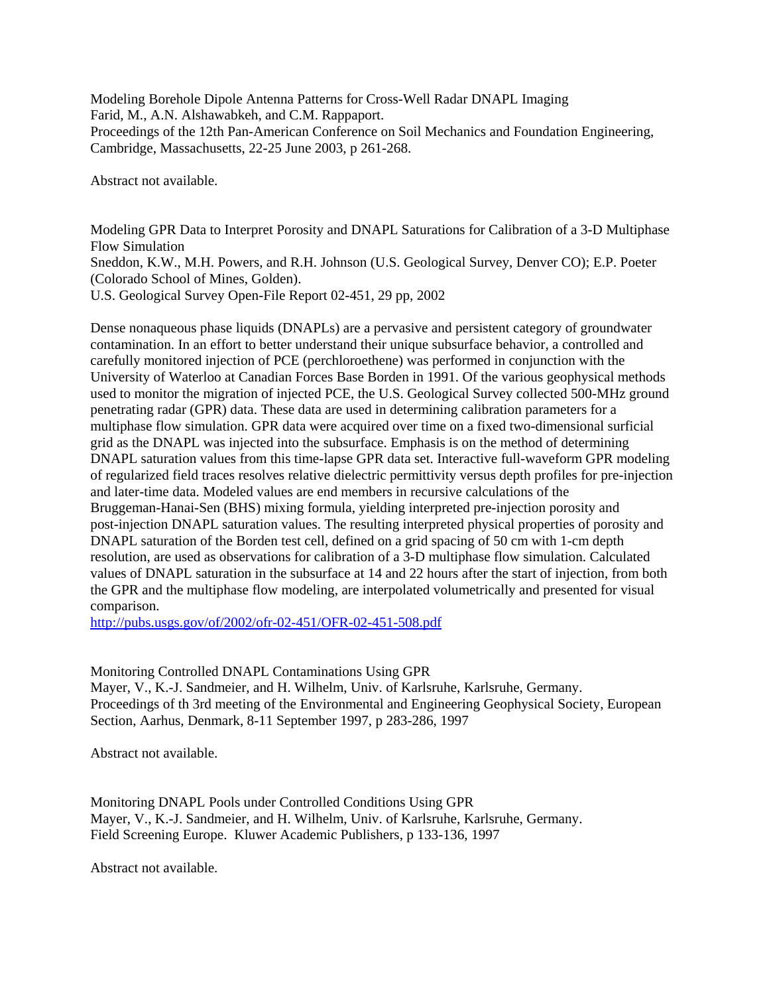Modeling Borehole Dipole Antenna Patterns for Cross-Well Radar DNAPL Imaging Farid, M., A.N. Alshawabkeh, and C.M. Rappaport. Proceedings of the 12th Pan-American Conference on Soil Mechanics and Foundation Engineering, Cambridge, Massachusetts, 22-25 June 2003, p 261-268.

Abstract not available.

Modeling GPR Data to Interpret Porosity and DNAPL Saturations for Calibration of a 3-D Multiphase Flow Simulation

Sneddon, K.W., M.H. Powers, and R.H. Johnson (U.S. Geological Survey, Denver CO); E.P. Poeter (Colorado School of Mines, Golden).

U.S. Geological Survey Open-File Report 02-451, 29 pp, 2002

Dense nonaqueous phase liquids (DNAPLs) are a pervasive and persistent category of groundwater contamination. In an effort to better understand their unique subsurface behavior, a controlled and carefully monitored injection of PCE (perchloroethene) was performed in conjunction with the University of Waterloo at Canadian Forces Base Borden in 1991. Of the various geophysical methods used to monitor the migration of injected PCE, the U.S. Geological Survey collected 500-MHz ground penetrating radar (GPR) data. These data are used in determining calibration parameters for a multiphase flow simulation. GPR data were acquired over time on a fixed two-dimensional surficial grid as the DNAPL was injected into the subsurface. Emphasis is on the method of determining DNAPL saturation values from this time-lapse GPR data set. Interactive full-waveform GPR modeling of regularized field traces resolves relative dielectric permittivity versus depth profiles for pre-injection and later-time data. Modeled values are end members in recursive calculations of the Bruggeman-Hanai-Sen (BHS) mixing formula, yielding interpreted pre-injection porosity and post-injection DNAPL saturation values. The resulting interpreted physical properties of porosity and DNAPL saturation of the Borden test cell, defined on a grid spacing of 50 cm with 1-cm depth resolution, are used as observations for calibration of a 3-D multiphase flow simulation. Calculated values of DNAPL saturation in the subsurface at 14 and 22 hours after the start of injection, from both the GPR and the multiphase flow modeling, are interpolated volumetrically and presented for visual comparison.

<http://pubs.usgs.gov/of/2002/ofr-02-451/OFR-02-451-508.pdf>

Monitoring Controlled DNAPL Contaminations Using GPR

Mayer, V., K.-J. Sandmeier, and H. Wilhelm, Univ. of Karlsruhe, Karlsruhe, Germany. Proceedings of th 3rd meeting of the Environmental and Engineering Geophysical Society, European Section, Aarhus, Denmark, 8-11 September 1997, p 283-286, 1997

Abstract not available.

Monitoring DNAPL Pools under Controlled Conditions Using GPR Mayer, V., K.-J. Sandmeier, and H. Wilhelm, Univ. of Karlsruhe, Karlsruhe, Germany. Field Screening Europe. Kluwer Academic Publishers, p 133-136, 1997

Abstract not available.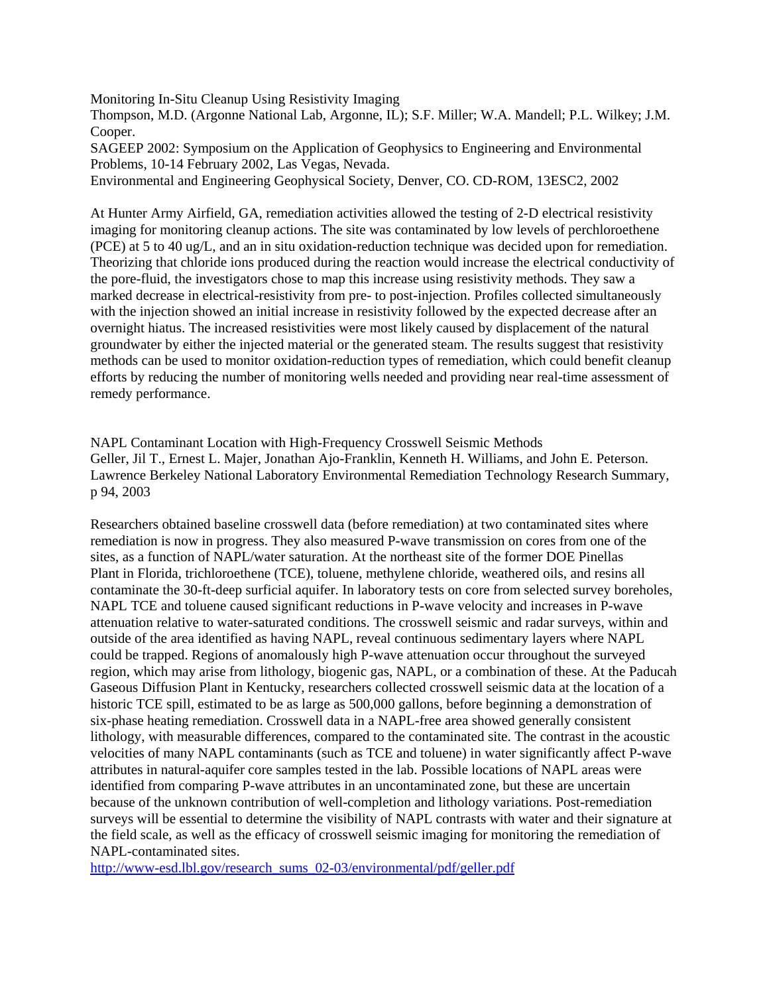Monitoring In-Situ Cleanup Using Resistivity Imaging Thompson, M.D. (Argonne National Lab, Argonne, IL); S.F. Miller; W.A. Mandell; P.L. Wilkey; J.M. Cooper.

SAGEEP 2002: Symposium on the Application of Geophysics to Engineering and Environmental Problems, 10-14 February 2002, Las Vegas, Nevada.

Environmental and Engineering Geophysical Society, Denver, CO. CD-ROM, 13ESC2, 2002

At Hunter Army Airfield, GA, remediation activities allowed the testing of 2-D electrical resistivity imaging for monitoring cleanup actions. The site was contaminated by low levels of perchloroethene (PCE) at 5 to 40 ug/L, and an in situ oxidation-reduction technique was decided upon for remediation. Theorizing that chloride ions produced during the reaction would increase the electrical conductivity of the pore-fluid, the investigators chose to map this increase using resistivity methods. They saw a marked decrease in electrical-resistivity from pre- to post-injection. Profiles collected simultaneously with the injection showed an initial increase in resistivity followed by the expected decrease after an overnight hiatus. The increased resistivities were most likely caused by displacement of the natural groundwater by either the injected material or the generated steam. The results suggest that resistivity methods can be used to monitor oxidation-reduction types of remediation, which could benefit cleanup efforts by reducing the number of monitoring wells needed and providing near real-time assessment of remedy performance.

NAPL Contaminant Location with High-Frequency Crosswell Seismic Methods Geller, Jil T., Ernest L. Majer, Jonathan Ajo-Franklin, Kenneth H. Williams, and John E. Peterson. Lawrence Berkeley National Laboratory Environmental Remediation Technology Research Summary, p 94, 2003

Researchers obtained baseline crosswell data (before remediation) at two contaminated sites where remediation is now in progress. They also measured P-wave transmission on cores from one of the sites, as a function of NAPL/water saturation. At the northeast site of the former DOE Pinellas Plant in Florida, trichloroethene (TCE), toluene, methylene chloride, weathered oils, and resins all contaminate the 30-ft-deep surficial aquifer. In laboratory tests on core from selected survey boreholes, NAPL TCE and toluene caused significant reductions in P-wave velocity and increases in P-wave attenuation relative to water-saturated conditions. The crosswell seismic and radar surveys, within and outside of the area identified as having NAPL, reveal continuous sedimentary layers where NAPL could be trapped. Regions of anomalously high P-wave attenuation occur throughout the surveyed region, which may arise from lithology, biogenic gas, NAPL, or a combination of these. At the Paducah Gaseous Diffusion Plant in Kentucky, researchers collected crosswell seismic data at the location of a historic TCE spill, estimated to be as large as 500,000 gallons, before beginning a demonstration of six-phase heating remediation. Crosswell data in a NAPL-free area showed generally consistent lithology, with measurable differences, compared to the contaminated site. The contrast in the acoustic velocities of many NAPL contaminants (such as TCE and toluene) in water significantly affect P-wave attributes in natural-aquifer core samples tested in the lab. Possible locations of NAPL areas were identified from comparing P-wave attributes in an uncontaminated zone, but these are uncertain because of the unknown contribution of well-completion and lithology variations. Post-remediation surveys will be essential to determine the visibility of NAPL contrasts with water and their signature at the field scale, as well as the efficacy of crosswell seismic imaging for monitoring the remediation of NAPL-contaminated sites.

[http://www-esd.lbl.gov/research\\_sums\\_02-03/environmental/pdf/geller.pdf](http://www-esd.lbl.gov/research_sums_02-03/environmental/pdf/geller.pdf)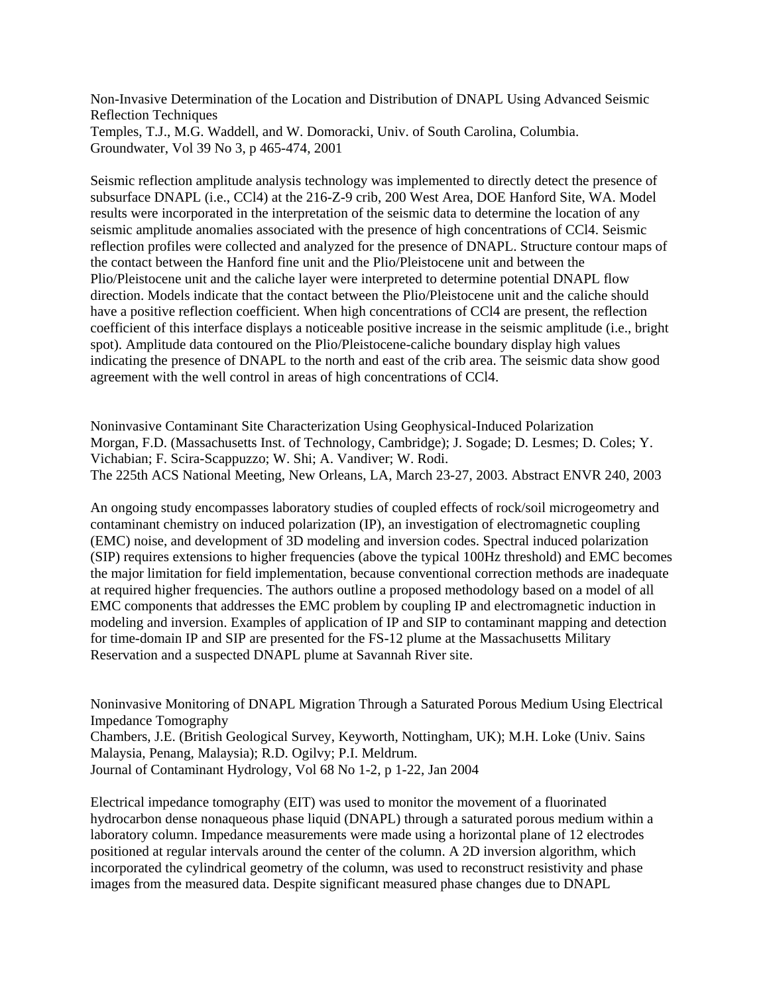Non-Invasive Determination of the Location and Distribution of DNAPL Using Advanced Seismic Reflection Techniques Temples, T.J., M.G. Waddell, and W. Domoracki, Univ. of South Carolina, Columbia.

Groundwater, Vol 39 No 3, p 465-474, 2001

Seismic reflection amplitude analysis technology was implemented to directly detect the presence of subsurface DNAPL (i.e., CCl4) at the 216-Z-9 crib, 200 West Area, DOE Hanford Site, WA. Model results were incorporated in the interpretation of the seismic data to determine the location of any seismic amplitude anomalies associated with the presence of high concentrations of CCl4. Seismic reflection profiles were collected and analyzed for the presence of DNAPL. Structure contour maps of the contact between the Hanford fine unit and the Plio/Pleistocene unit and between the Plio/Pleistocene unit and the caliche layer were interpreted to determine potential DNAPL flow direction. Models indicate that the contact between the Plio/Pleistocene unit and the caliche should have a positive reflection coefficient. When high concentrations of CCl4 are present, the reflection coefficient of this interface displays a noticeable positive increase in the seismic amplitude (i.e., bright spot). Amplitude data contoured on the Plio/Pleistocene-caliche boundary display high values indicating the presence of DNAPL to the north and east of the crib area. The seismic data show good agreement with the well control in areas of high concentrations of CCl4.

Noninvasive Contaminant Site Characterization Using Geophysical-Induced Polarization Morgan, F.D. (Massachusetts Inst. of Technology, Cambridge); J. Sogade; D. Lesmes; D. Coles; Y. Vichabian; F. Scira-Scappuzzo; W. Shi; A. Vandiver; W. Rodi. The 225th ACS National Meeting, New Orleans, LA, March 23-27, 2003. Abstract ENVR 240, 2003

An ongoing study encompasses laboratory studies of coupled effects of rock/soil microgeometry and contaminant chemistry on induced polarization (IP), an investigation of electromagnetic coupling (EMC) noise, and development of 3D modeling and inversion codes. Spectral induced polarization (SIP) requires extensions to higher frequencies (above the typical 100Hz threshold) and EMC becomes the major limitation for field implementation, because conventional correction methods are inadequate at required higher frequencies. The authors outline a proposed methodology based on a model of all EMC components that addresses the EMC problem by coupling IP and electromagnetic induction in modeling and inversion. Examples of application of IP and SIP to contaminant mapping and detection for time-domain IP and SIP are presented for the FS-12 plume at the Massachusetts Military Reservation and a suspected DNAPL plume at Savannah River site.

Noninvasive Monitoring of DNAPL Migration Through a Saturated Porous Medium Using Electrical Impedance Tomography Chambers, J.E. (British Geological Survey, Keyworth, Nottingham, UK); M.H. Loke (Univ. Sains Malaysia, Penang, Malaysia); R.D. Ogilvy; P.I. Meldrum. Journal of Contaminant Hydrology, Vol 68 No 1-2, p 1-22, Jan 2004

Electrical impedance tomography (EIT) was used to monitor the movement of a fluorinated hydrocarbon dense nonaqueous phase liquid (DNAPL) through a saturated porous medium within a laboratory column. Impedance measurements were made using a horizontal plane of 12 electrodes positioned at regular intervals around the center of the column. A 2D inversion algorithm, which incorporated the cylindrical geometry of the column, was used to reconstruct resistivity and phase images from the measured data. Despite significant measured phase changes due to DNAPL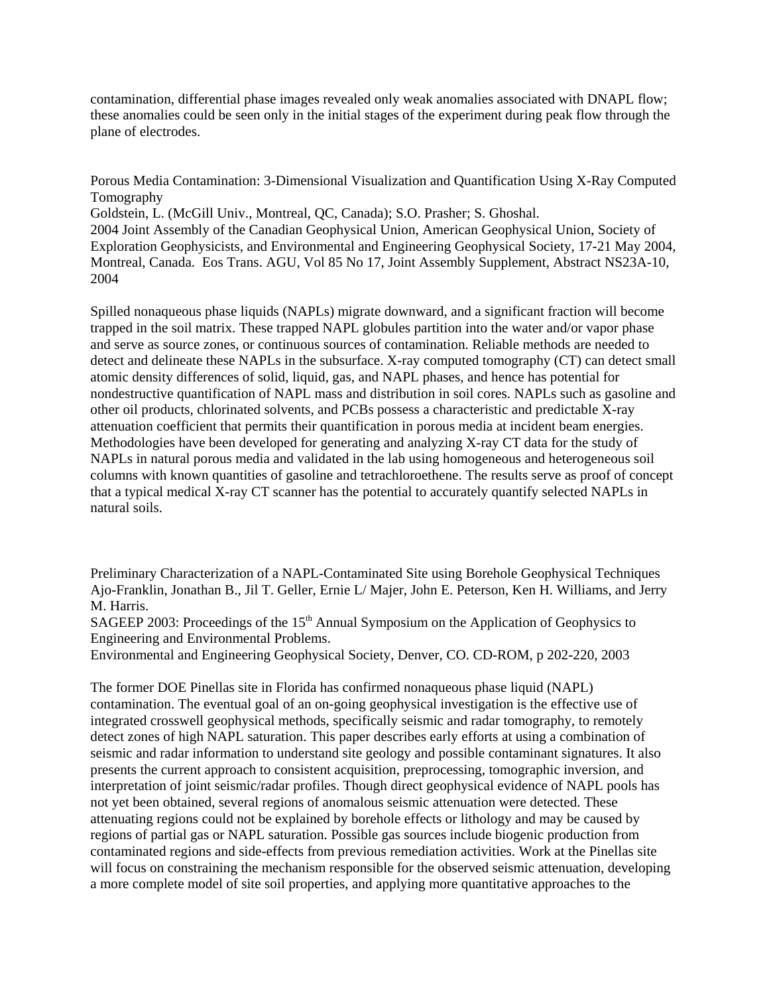contamination, differential phase images revealed only weak anomalies associated with DNAPL flow; these anomalies could be seen only in the initial stages of the experiment during peak flow through the plane of electrodes.

Porous Media Contamination: 3-Dimensional Visualization and Quantification Using X-Ray Computed Tomography

Goldstein, L. (McGill Univ., Montreal, QC, Canada); S.O. Prasher; S. Ghoshal.

2004 2004 Joint Assembly of the Canadian Geophysical Union, American Geophysical Union, Society of Exploration Geophysicists, and Environmental and Engineering Geophysical Society, 17-21 May 2004, Montreal, Canada. Eos Trans. AGU, Vol 85 No 17, Joint Assembly Supplement, Abstract NS23A-10,

Spilled nonaqueous phase liquids (NAPLs) migrate downward, and a significant fraction will become trapped in the soil matrix. These trapped NAPL globules partition into the water and/or vapor phase and serve as source zones, or continuous sources of contamination. Reliable methods are needed to detect and delineate these NAPLs in the subsurface. X-ray computed tomography (CT) can detect small atomic density differences of solid, liquid, gas, and NAPL phases, and hence has potential for nondestructive quantification of NAPL mass and distribution in soil cores. NAPLs such as gasoline and other oil products, chlorinated solvents, and PCBs possess a characteristic and predictable X-ray attenuation coefficient that permits their quantification in porous media at incident beam energies. Methodologies have been developed for generating and analyzing X-ray CT data for the study of NAPLs in natural porous media and validated in the lab using homogeneous and heterogeneous soil columns with known quantities of gasoline and tetrachloroethene. The results serve as proof of concept that a typical medical X-ray CT scanner has the potential to accurately quantify selected NAPLs in natural soils.

Preliminary Characterization of a NAPL-Contaminated Site using Borehole Geophysical Techniques Ajo-Franklin, Jonathan B., Jil T. Geller, Ernie L/ Majer, John E. Peterson, Ken H. Williams, and Jerry M. Harris.

SAGEEP 2003: Proceedings of the 15<sup>th</sup> Annual Symposium on the Application of Geophysics to Engineering and Environmental Problems.

Environmental and Engineering Geophysical Society, Denver, CO. CD-ROM, p 202-220, 2003

The former DOE Pinellas site in Florida has confirmed nonaqueous phase liquid (NAPL) contamination. The eventual goal of an on-going geophysical investigation is the effective use of integrated crosswell geophysical methods, specifically seismic and radar tomography, to remotely detect zones of high NAPL saturation. This paper describes early efforts at using a combination of seismic and radar information to understand site geology and possible contaminant signatures. It also presents the current approach to consistent acquisition, preprocessing, tomographic inversion, and interpretation of joint seismic/radar profiles. Though direct geophysical evidence of NAPL pools has not yet been obtained, several regions of anomalous seismic attenuation were detected. These attenuating regions could not be explained by borehole effects or lithology and may be caused by regions of partial gas or NAPL saturation. Possible gas sources include biogenic production from contaminated regions and side-effects from previous remediation activities. Work at the Pinellas site will focus on constraining the mechanism responsible for the observed seismic attenuation, developing a more complete model of site soil properties, and applying more quantitative approaches to the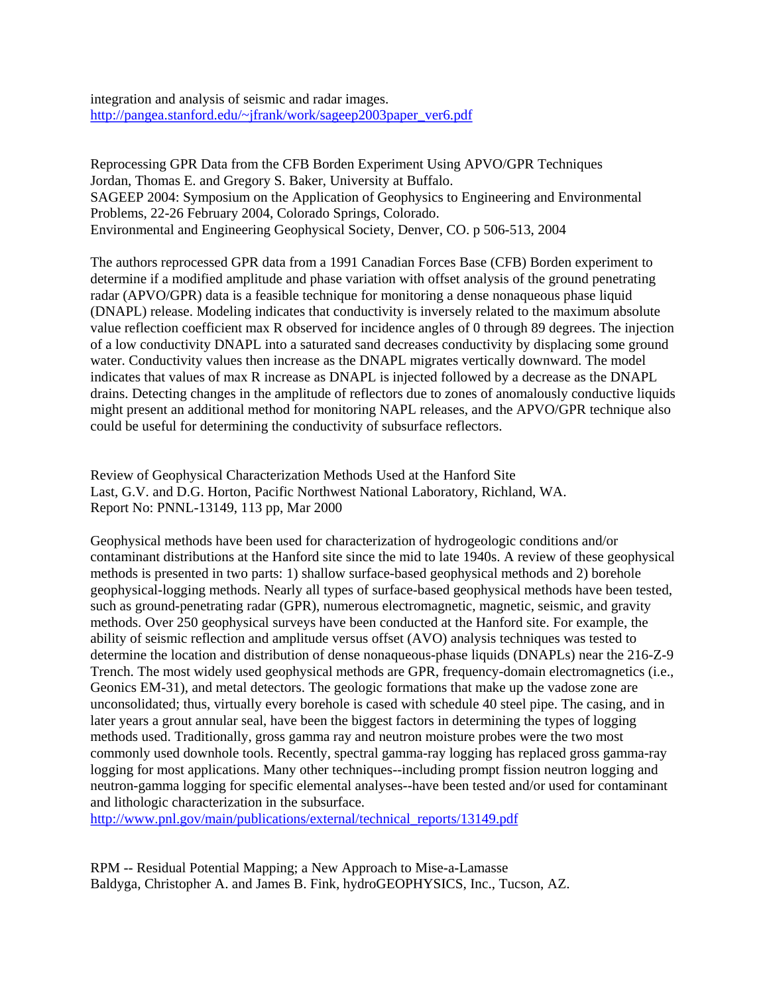integration and analysis of seismic and radar images. [http://pangea.stanford.edu/~jfrank/work/sageep2003paper\\_ver6.pdf](http://pangea.stanford.edu/~jfrank/work/sageep2003paper_ver6.pdf)

Reprocessing GPR Data from the CFB Borden Experiment Using APVO/GPR Techniques Jordan, Thomas E. and Gregory S. Baker, University at Buffalo. SAGEEP 2004: Symposium on the Application of Geophysics to Engineering and Environmental Problems, 22-26 February 2004, Colorado Springs, Colorado. Environmental and Engineering Geophysical Society, Denver, CO. p 506-513, 2004

The authors reprocessed GPR data from a 1991 Canadian Forces Base (CFB) Borden experiment to determine if a modified amplitude and phase variation with offset analysis of the ground penetrating radar (APVO/GPR) data is a feasible technique for monitoring a dense nonaqueous phase liquid (DNAPL) release. Modeling indicates that conductivity is inversely related to the maximum absolute value reflection coefficient max R observed for incidence angles of 0 through 89 degrees. The injection of a low conductivity DNAPL into a saturated sand decreases conductivity by displacing some ground water. Conductivity values then increase as the DNAPL migrates vertically downward. The model indicates that values of max R increase as DNAPL is injected followed by a decrease as the DNAPL drains. Detecting changes in the amplitude of reflectors due to zones of anomalously conductive liquids might present an additional method for monitoring NAPL releases, and the APVO/GPR technique also could be useful for determining the conductivity of subsurface reflectors.

Review of Geophysical Characterization Methods Used at the Hanford Site Last, G.V. and D.G. Horton, Pacific Northwest National Laboratory, Richland, WA. Report No: PNNL-13149, 113 pp, Mar 2000

Geophysical methods have been used for characterization of hydrogeologic conditions and/or contaminant distributions at the Hanford site since the mid to late 1940s. A review of these geophysical methods is presented in two parts: 1) shallow surface-based geophysical methods and 2) borehole geophysical-logging methods. Nearly all types of surface-based geophysical methods have been tested, such as ground-penetrating radar (GPR), numerous electromagnetic, magnetic, seismic, and gravity methods. Over 250 geophysical surveys have been conducted at the Hanford site. For example, the ability of seismic reflection and amplitude versus offset (AVO) analysis techniques was tested to determine the location and distribution of dense nonaqueous-phase liquids (DNAPLs) near the 216-Z-9 Trench. The most widely used geophysical methods are GPR, frequency-domain electromagnetics (i.e., Geonics EM-31), and metal detectors. The geologic formations that make up the vadose zone are unconsolidated; thus, virtually every borehole is cased with schedule 40 steel pipe. The casing, and in later years a grout annular seal, have been the biggest factors in determining the types of logging methods used. Traditionally, gross gamma ray and neutron moisture probes were the two most commonly used downhole tools. Recently, spectral gamma-ray logging has replaced gross gamma-ray logging for most applications. Many other techniques--including prompt fission neutron logging and neutron-gamma logging for specific elemental analyses--have been tested and/or used for contaminant and lithologic characterization in the subsurface.

[http://www.pnl.gov/main/publications/external/technical\\_reports/13149.pdf](http://www.pnl.gov/main/publications/external/technical_reports/13149.pdf)

RPM -- Residual Potential Mapping; a New Approach to Mise-a-Lamasse Baldyga, Christopher A. and James B. Fink, hydroGEOPHYSICS, Inc., Tucson, AZ.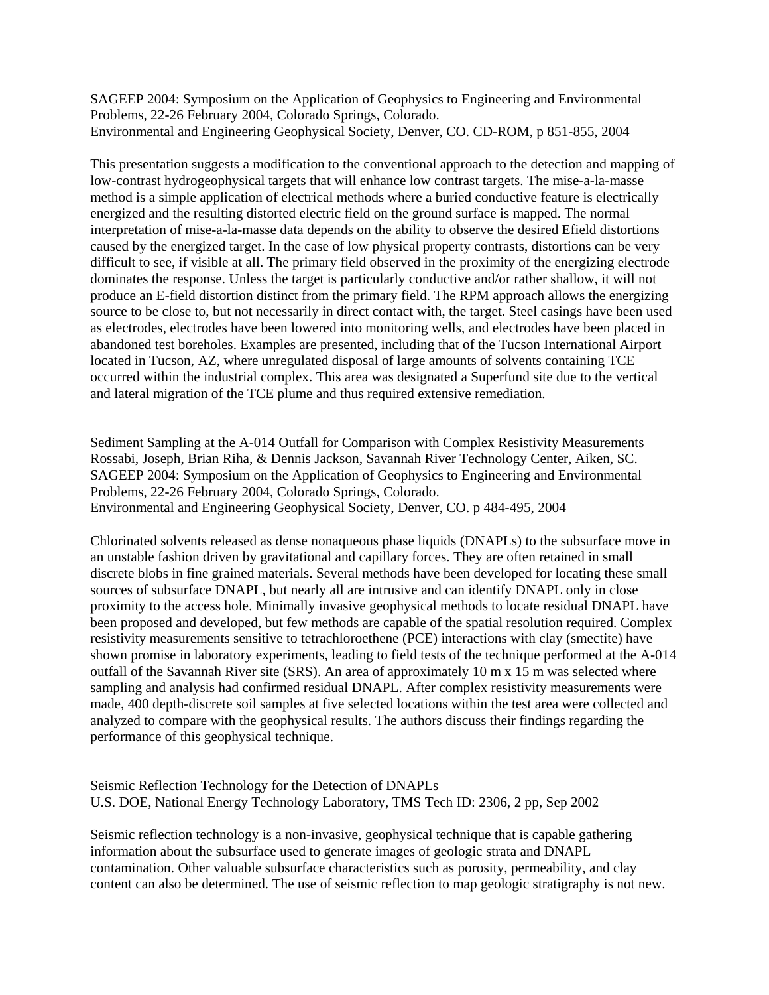SAGEEP 2004: Symposium on the Application of Geophysics to Engineering and Environmental Problems, 22-26 February 2004, Colorado Springs, Colorado. Environmental and Engineering Geophysical Society, Denver, CO. CD-ROM, p 851-855, 2004

This presentation suggests a modification to the conventional approach to the detection and mapping of low-contrast hydrogeophysical targets that will enhance low contrast targets. The mise-a-la-masse method is a simple application of electrical methods where a buried conductive feature is electrically energized and the resulting distorted electric field on the ground surface is mapped. The normal interpretation of mise-a-la-masse data depends on the ability to observe the desired Efield distortions caused by the energized target. In the case of low physical property contrasts, distortions can be very difficult to see, if visible at all. The primary field observed in the proximity of the energizing electrode dominates the response. Unless the target is particularly conductive and/or rather shallow, it will not produce an E-field distortion distinct from the primary field. The RPM approach allows the energizing source to be close to, but not necessarily in direct contact with, the target. Steel casings have been used as electrodes, electrodes have been lowered into monitoring wells, and electrodes have been placed in abandoned test boreholes. Examples are presented, including that of the Tucson International Airport located in Tucson, AZ, where unregulated disposal of large amounts of solvents containing TCE occurred within the industrial complex. This area was designated a Superfund site due to the vertical and lateral migration of the TCE plume and thus required extensive remediation.

Sediment Sampling at the A-014 Outfall for Comparison with Complex Resistivity Measurements Rossabi, Joseph, Brian Riha, & Dennis Jackson, Savannah River Technology Center, Aiken, SC. SAGEEP 2004: Symposium on the Application of Geophysics to Engineering and Environmental Problems, 22-26 February 2004, Colorado Springs, Colorado. Environmental and Engineering Geophysical Society, Denver, CO. p 484-495, 2004

Chlorinated solvents released as dense nonaqueous phase liquids (DNAPLs) to the subsurface move in an unstable fashion driven by gravitational and capillary forces. They are often retained in small discrete blobs in fine grained materials. Several methods have been developed for locating these small sources of subsurface DNAPL, but nearly all are intrusive and can identify DNAPL only in close proximity to the access hole. Minimally invasive geophysical methods to locate residual DNAPL have been proposed and developed, but few methods are capable of the spatial resolution required. Complex resistivity measurements sensitive to tetrachloroethene (PCE) interactions with clay (smectite) have shown promise in laboratory experiments, leading to field tests of the technique performed at the A-014 outfall of the Savannah River site (SRS). An area of approximately 10 m x 15 m was selected where sampling and analysis had confirmed residual DNAPL. After complex resistivity measurements were made, 400 depth-discrete soil samples at five selected locations within the test area were collected and analyzed to compare with the geophysical results. The authors discuss their findings regarding the performance of this geophysical technique.

Seismic Reflection Technology for the Detection of DNAPLs U.S. DOE, National Energy Technology Laboratory, TMS Tech ID: 2306, 2 pp, Sep 2002

Seismic reflection technology is a non-invasive, geophysical technique that is capable gathering information about the subsurface used to generate images of geologic strata and DNAPL contamination. Other valuable subsurface characteristics such as porosity, permeability, and clay content can also be determined. The use of seismic reflection to map geologic stratigraphy is not new.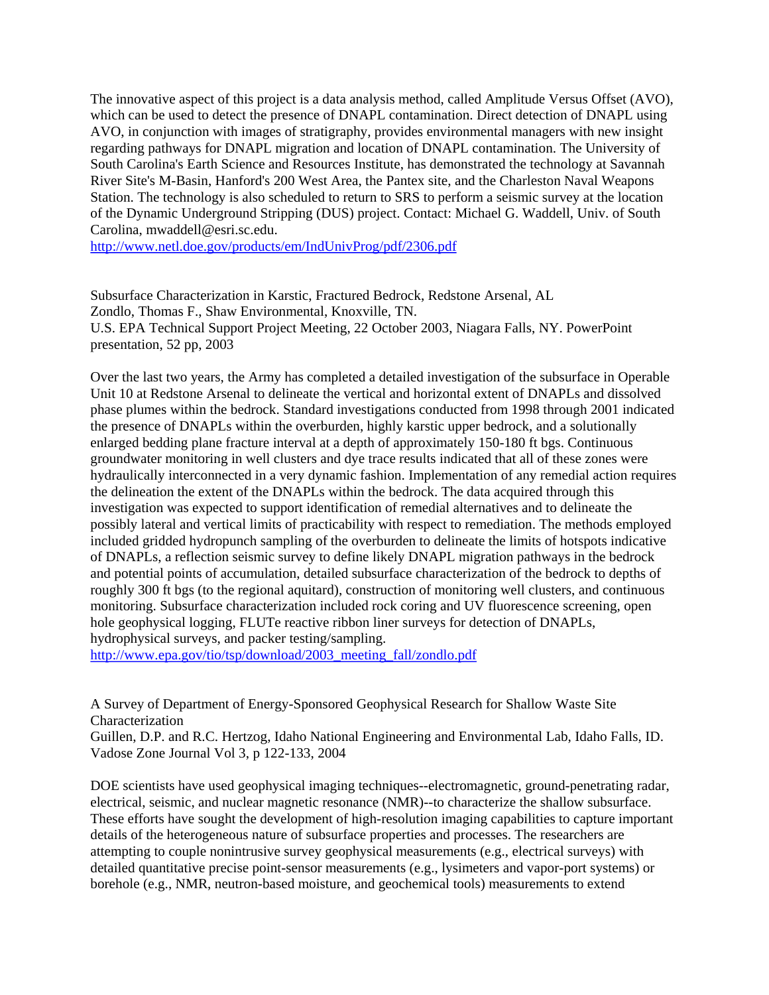The innovative aspect of this project is a data analysis method, called Amplitude Versus Offset (AVO), which can be used to detect the presence of DNAPL contamination. Direct detection of DNAPL using AVO, in conjunction with images of stratigraphy, provides environmental managers with new insight regarding pathways for DNAPL migration and location of DNAPL contamination. The University of South Carolina's Earth Science and Resources Institute, has demonstrated the technology at Savannah River Site's M-Basin, Hanford's 200 West Area, the Pantex site, and the Charleston Naval Weapons Station. The technology is also scheduled to return to SRS to perform a seismic survey at the location of the Dynamic Underground Stripping (DUS) project. Contact: Michael G. Waddell, Univ. of South Carolina, mwaddell@esri.sc.edu.

<http://www.netl.doe.gov/products/em/IndUnivProg/pdf/2306.pdf>

Subsurface Characterization in Karstic, Fractured Bedrock, Redstone Arsenal, AL Zondlo, Thomas F., Shaw Environmental, Knoxville, TN. U.S. EPA Technical Support Project Meeting, 22 October 2003, Niagara Falls, NY. PowerPoint presentation, 52 pp, 2003

Over the last two years, the Army has completed a detailed investigation of the subsurface in Operable Unit 10 at Redstone Arsenal to delineate the vertical and horizontal extent of DNAPLs and dissolved phase plumes within the bedrock. Standard investigations conducted from 1998 through 2001 indicated the presence of DNAPLs within the overburden, highly karstic upper bedrock, and a solutionally enlarged bedding plane fracture interval at a depth of approximately 150-180 ft bgs. Continuous groundwater monitoring in well clusters and dye trace results indicated that all of these zones were hydraulically interconnected in a very dynamic fashion. Implementation of any remedial action requires the delineation the extent of the DNAPLs within the bedrock. The data acquired through this investigation was expected to support identification of remedial alternatives and to delineate the possibly lateral and vertical limits of practicability with respect to remediation. The methods employed included gridded hydropunch sampling of the overburden to delineate the limits of hotspots indicative of DNAPLs, a reflection seismic survey to define likely DNAPL migration pathways in the bedrock and potential points of accumulation, detailed subsurface characterization of the bedrock to depths of roughly 300 ft bgs (to the regional aquitard), construction of monitoring well clusters, and continuous monitoring. Subsurface characterization included rock coring and UV fluorescence screening, open hole geophysical logging, FLUTe reactive ribbon liner surveys for detection of DNAPLs, hydrophysical surveys, and packer testing/sampling.

[http://www.epa.gov/tio/tsp/download/2003\\_meeting\\_fall/zondlo.pdf](http://www.epa.gov/tio/tsp/download/2003_meeting_fall/zondlo.pdf) 

A Survey of Department of Energy-Sponsored Geophysical Research for Shallow Waste Site Characterization

Guillen, D.P. and R.C. Hertzog, Idaho National Engineering and Environmental Lab, Idaho Falls, ID. Vadose Zone Journal Vol 3, p 122-133, 2004

DOE scientists have used geophysical imaging techniques--electromagnetic, ground-penetrating radar, electrical, seismic, and nuclear magnetic resonance (NMR)--to characterize the shallow subsurface. These efforts have sought the development of high-resolution imaging capabilities to capture important details of the heterogeneous nature of subsurface properties and processes. The researchers are attempting to couple nonintrusive survey geophysical measurements (e.g., electrical surveys) with detailed quantitative precise point-sensor measurements (e.g., lysimeters and vapor-port systems) or borehole (e.g., NMR, neutron-based moisture, and geochemical tools) measurements to extend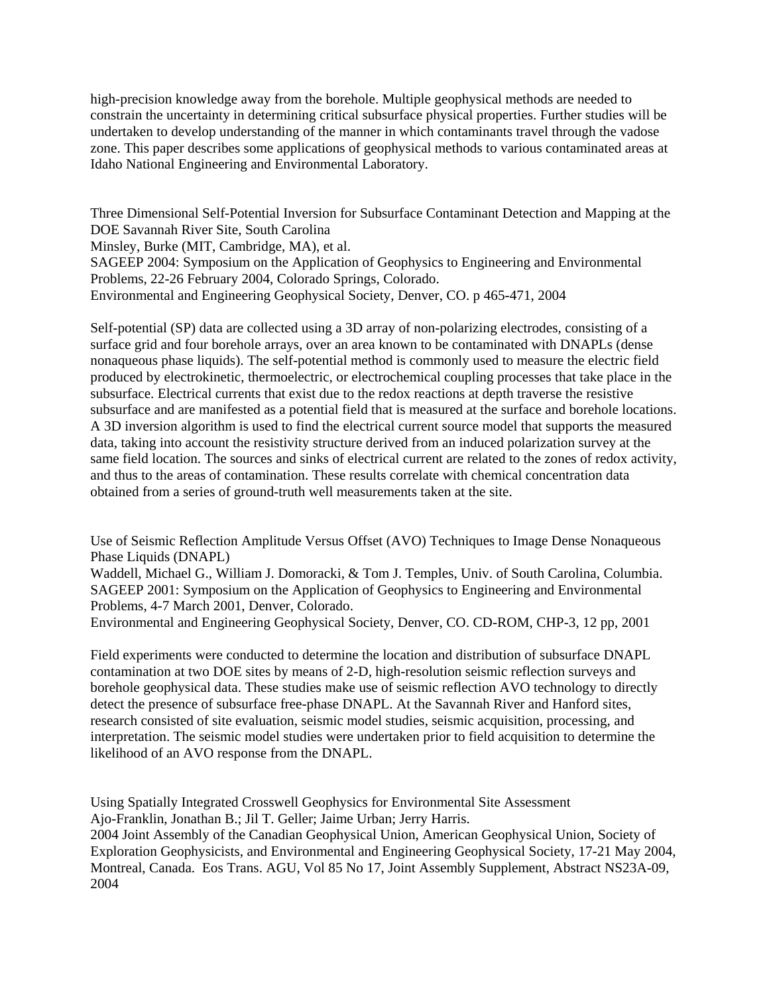high-precision knowledge away from the borehole. Multiple geophysical methods are needed to constrain the uncertainty in determining critical subsurface physical properties. Further studies will be undertaken to develop understanding of the manner in which contaminants travel through the vadose zone. This paper describes some applications of geophysical methods to various contaminated areas at Idaho National Engineering and Environmental Laboratory.

Three Dimensional Self-Potential Inversion for Subsurface Contaminant Detection and Mapping at the DOE Savannah River Site, South Carolina Minsley, Burke (MIT, Cambridge, MA), et al.

SAGEEP 2004: Symposium on the Application of Geophysics to Engineering and Environmental Problems, 22-26 February 2004, Colorado Springs, Colorado. Environmental and Engineering Geophysical Society, Denver, CO. p 465-471, 2004

Self-potential (SP) data are collected using a 3D array of non-polarizing electrodes, consisting of a surface grid and four borehole arrays, over an area known to be contaminated with DNAPLs (dense nonaqueous phase liquids). The self-potential method is commonly used to measure the electric field produced by electrokinetic, thermoelectric, or electrochemical coupling processes that take place in the subsurface. Electrical currents that exist due to the redox reactions at depth traverse the resistive subsurface and are manifested as a potential field that is measured at the surface and borehole locations. A 3D inversion algorithm is used to find the electrical current source model that supports the measured data, taking into account the resistivity structure derived from an induced polarization survey at the same field location. The sources and sinks of electrical current are related to the zones of redox activity, and thus to the areas of contamination. These results correlate with chemical concentration data obtained from a series of ground-truth well measurements taken at the site.

Use of Seismic Reflection Amplitude Versus Offset (AVO) Techniques to Image Dense Nonaqueous Phase Liquids (DNAPL)

Waddell, Michael G., William J. Domoracki, & Tom J. Temples, Univ. of South Carolina, Columbia. SAGEEP 2001: Symposium on the Application of Geophysics to Engineering and Environmental Problems, 4-7 March 2001, Denver, Colorado.

Environmental and Engineering Geophysical Society, Denver, CO. CD-ROM, CHP-3, 12 pp, 2001

Field experiments were conducted to determine the location and distribution of subsurface DNAPL contamination at two DOE sites by means of 2-D, high-resolution seismic reflection surveys and borehole geophysical data. These studies make use of seismic reflection AVO technology to directly detect the presence of subsurface free-phase DNAPL. At the Savannah River and Hanford sites, research consisted of site evaluation, seismic model studies, seismic acquisition, processing, and interpretation. The seismic model studies were undertaken prior to field acquisition to determine the likelihood of an AVO response from the DNAPL.

Using Spatially Integrated Crosswell Geophysics for Environmental Site Assessment Ajo-Franklin, Jonathan B.; Jil T. Geller; Jaime Urban; Jerry Harris.

2004 Joint Assembly of the Canadian Geophysical Union, American Geophysical Union, Society of Exploration Geophysicists, and Environmental and Engineering Geophysical Society, 17-21 May 2004, Montreal, Canada. Eos Trans. AGU, Vol 85 No 17, Joint Assembly Supplement, Abstract NS23A-09, 2004